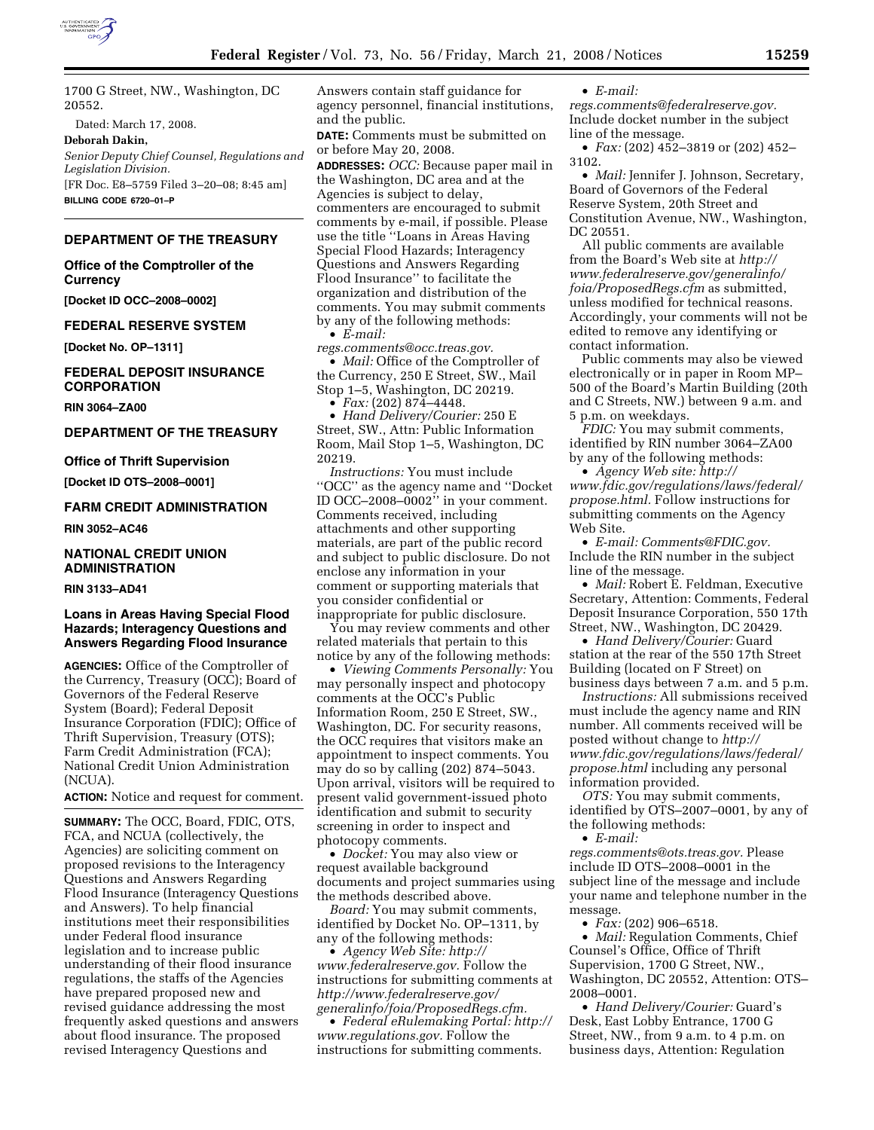

1700 G Street, NW., Washington, DC 20552.

Dated: March 17, 2008.

**Deborah Dakin,** 

*Senior Deputy Chief Counsel, Regulations and Legislation Division.*  [FR Doc. E8–5759 Filed 3–20–08; 8:45 am] **BILLING CODE 6720–01–P** 

**DEPARTMENT OF THE TREASURY** 

**Office of the Comptroller of the Currency** 

**[Docket ID OCC–2008–0002]** 

#### **FEDERAL RESERVE SYSTEM**

**[Docket No. OP–1311]** 

### **FEDERAL DEPOSIT INSURANCE CORPORATION**

**RIN 3064–ZA00** 

#### **DEPARTMENT OF THE TREASURY**

#### **Office of Thrift Supervision**

**[Docket ID OTS–2008–0001]** 

#### **FARM CREDIT ADMINISTRATION**

**RIN 3052–AC46** 

#### **NATIONAL CREDIT UNION ADMINISTRATION**

#### **RIN 3133–AD41**

### **Loans in Areas Having Special Flood Hazards; Interagency Questions and Answers Regarding Flood Insurance**

**AGENCIES:** Office of the Comptroller of the Currency, Treasury (OCC); Board of Governors of the Federal Reserve System (Board); Federal Deposit Insurance Corporation (FDIC); Office of Thrift Supervision, Treasury (OTS); Farm Credit Administration (FCA); National Credit Union Administration (NCUA).

**ACTION:** Notice and request for comment.

**SUMMARY:** The OCC, Board, FDIC, OTS, FCA, and NCUA (collectively, the Agencies) are soliciting comment on proposed revisions to the Interagency Questions and Answers Regarding Flood Insurance (Interagency Questions and Answers). To help financial institutions meet their responsibilities under Federal flood insurance legislation and to increase public understanding of their flood insurance regulations, the staffs of the Agencies have prepared proposed new and revised guidance addressing the most frequently asked questions and answers about flood insurance. The proposed revised Interagency Questions and

Answers contain staff guidance for agency personnel, financial institutions, and the public.

**DATE:** Comments must be submitted on or before May 20, 2008.

**ADDRESSES:** *OCC:* Because paper mail in the Washington, DC area and at the Agencies is subject to delay, commenters are encouraged to submit comments by e-mail, if possible. Please use the title ''Loans in Areas Having Special Flood Hazards; Interagency Questions and Answers Regarding Flood Insurance'' to facilitate the organization and distribution of the comments. You may submit comments by any of the following methods: • *E-mail:* 

*regs.comments@occ.treas.gov.* 

• *Mail:* Office of the Comptroller of the Currency, 250 E Street, SW., Mail Stop 1–5, Washington, DC 20219. • *Fax:* (202) 874–4448.

• *Hand Delivery/Courier:* 250 E Street, SW., Attn: Public Information Room, Mail Stop 1–5, Washington, DC 20219.

*Instructions:* You must include ''OCC'' as the agency name and ''Docket ID OCC–2008–0002'' in your comment. Comments received, including attachments and other supporting materials, are part of the public record and subject to public disclosure. Do not enclose any information in your comment or supporting materials that you consider confidential or inappropriate for public disclosure.

You may review comments and other related materials that pertain to this notice by any of the following methods:

• *Viewing Comments Personally:* You may personally inspect and photocopy comments at the OCC's Public Information Room, 250 E Street, SW., Washington, DC. For security reasons, the OCC requires that visitors make an appointment to inspect comments. You may do so by calling (202) 874–5043. Upon arrival, visitors will be required to present valid government-issued photo identification and submit to security screening in order to inspect and photocopy comments.

• *Docket:* You may also view or request available background documents and project summaries using the methods described above.

*Board:* You may submit comments, identified by Docket No. OP–1311, by any of the following methods:

• *Agency Web Site: http:// www.federalreserve.gov.* Follow the instructions for submitting comments at *http://www.federalreserve.gov/ generalinfo/foia/ProposedRegs.cfm.* 

• *Federal eRulemaking Portal: http:// www.regulations.gov.* Follow the instructions for submitting comments.

• *E-mail:* 

*regs.comments@federalreserve.gov.*  Include docket number in the subject line of the message.

• *Fax:* (202) 452–3819 or (202) 452– 3102.

• *Mail:* Jennifer J. Johnson, Secretary, Board of Governors of the Federal Reserve System, 20th Street and Constitution Avenue, NW., Washington, DC 20551.

All public comments are available from the Board's Web site at *http:// www.federalreserve.gov/generalinfo/ foia/ProposedRegs.cfm* as submitted, unless modified for technical reasons. Accordingly, your comments will not be edited to remove any identifying or contact information.

Public comments may also be viewed electronically or in paper in Room MP– 500 of the Board's Martin Building (20th and C Streets, NW.) between 9 a.m. and 5 p.m. on weekdays.

*FDIC:* You may submit comments, identified by RIN number 3064–ZA00 by any of the following methods:

• *Agency Web site: http:// www.fdic.gov/regulations/laws/federal/ propose.html.* Follow instructions for submitting comments on the Agency Web Site.

• *E-mail: Comments@FDIC.gov.*  Include the RIN number in the subject line of the message.

• *Mail:* Robert E. Feldman, Executive Secretary, Attention: Comments, Federal Deposit Insurance Corporation, 550 17th Street, NW., Washington, DC 20429.

• *Hand Delivery/Courier:* Guard station at the rear of the 550 17th Street Building (located on F Street) on business days between 7 a.m. and 5 p.m.

*Instructions:* All submissions received must include the agency name and RIN number. All comments received will be posted without change to *http:// www.fdic.gov/regulations/laws/federal/ propose.html* including any personal information provided.

*OTS:* You may submit comments, identified by OTS–2007–0001, by any of the following methods:

• *E-mail:* 

*regs.comments@ots.treas.gov.* Please include ID OTS–2008–0001 in the subject line of the message and include your name and telephone number in the message.

• *Fax:* (202) 906–6518.

• *Mail:* Regulation Comments, Chief Counsel's Office, Office of Thrift Supervision, 1700 G Street, NW., Washington, DC 20552, Attention: OTS– 2008–0001.

• *Hand Delivery/Courier:* Guard's Desk, East Lobby Entrance, 1700 G Street, NW., from 9 a.m. to 4 p.m. on business days, Attention: Regulation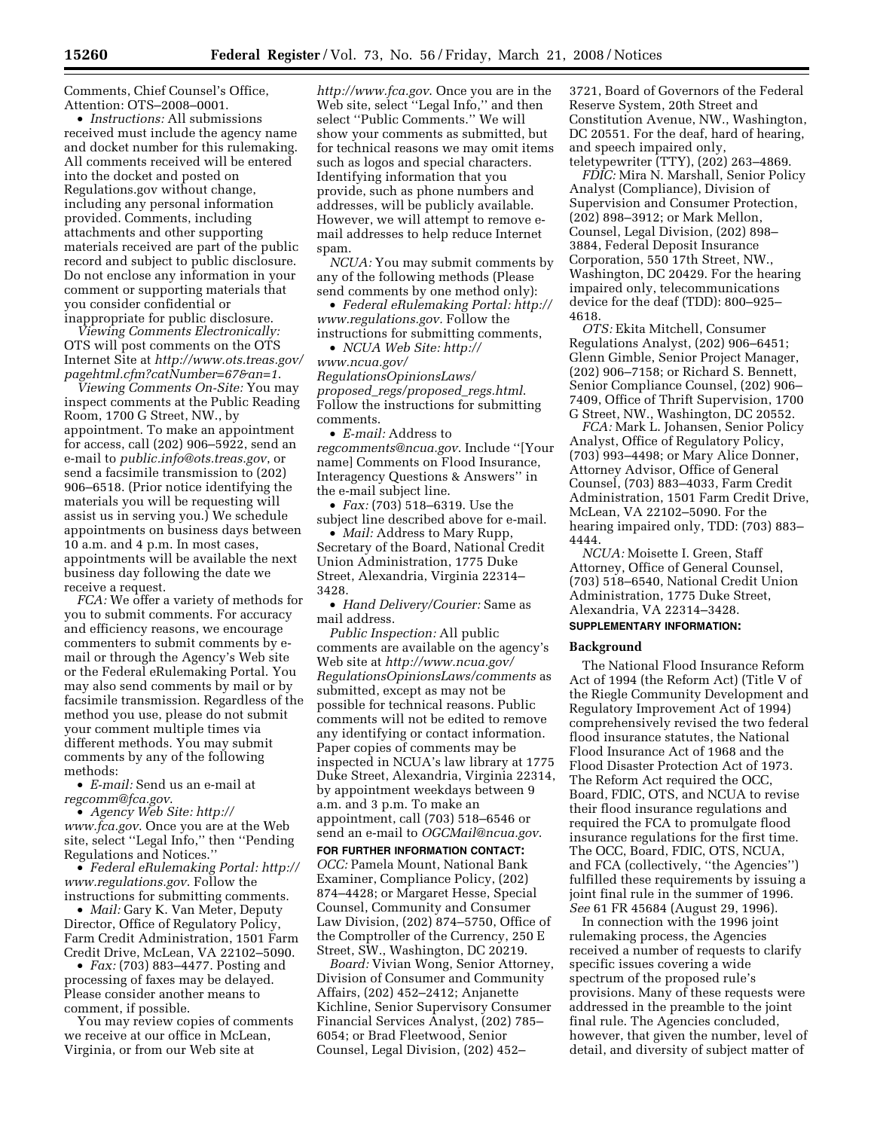Comments, Chief Counsel's Office, Attention: OTS–2008–0001.

• *Instructions:* All submissions received must include the agency name and docket number for this rulemaking. All comments received will be entered into the docket and posted on Regulations.gov without change, including any personal information provided. Comments, including attachments and other supporting materials received are part of the public record and subject to public disclosure. Do not enclose any information in your comment or supporting materials that you consider confidential or inappropriate for public disclosure.

*Viewing Comments Electronically:*  OTS will post comments on the OTS Internet Site at *http://www.ots.treas.gov/ pagehtml.cfm?catNumber=67&an=1*.

*Viewing Comments On-Site:* You may inspect comments at the Public Reading Room, 1700 G Street, NW., by appointment. To make an appointment for access, call (202) 906–5922, send an e-mail to *public.info@ots.treas.gov*, or send a facsimile transmission to (202) 906–6518. (Prior notice identifying the materials you will be requesting will assist us in serving you.) We schedule appointments on business days between 10 a.m. and 4 p.m. In most cases, appointments will be available the next business day following the date we receive a request.

*FCA:* We offer a variety of methods for you to submit comments. For accuracy and efficiency reasons, we encourage commenters to submit comments by email or through the Agency's Web site or the Federal eRulemaking Portal. You may also send comments by mail or by facsimile transmission. Regardless of the method you use, please do not submit your comment multiple times via different methods. You may submit comments by any of the following methods:

• *E-mail:* Send us an e-mail at *regcomm@fca.gov*.

• *Agency Web Site: http:// www.fca.gov*. Once you are at the Web site, select ''Legal Info,'' then ''Pending Regulations and Notices.''

• *Federal eRulemaking Portal: http:// www.regulations.gov*. Follow the instructions for submitting comments.

• *Mail:* Gary K. Van Meter, Deputy Director, Office of Regulatory Policy, Farm Credit Administration, 1501 Farm Credit Drive, McLean, VA 22102–5090.

• *Fax:* (703) 883–4477. Posting and processing of faxes may be delayed. Please consider another means to comment, if possible.

You may review copies of comments we receive at our office in McLean, Virginia, or from our Web site at

*http://www.fca.gov*. Once you are in the Web site, select ''Legal Info,'' and then select ''Public Comments.'' We will show your comments as submitted, but for technical reasons we may omit items such as logos and special characters. Identifying information that you provide, such as phone numbers and addresses, will be publicly available. However, we will attempt to remove email addresses to help reduce Internet spam.

*NCUA:* You may submit comments by any of the following methods (Please send comments by one method only):

• *Federal eRulemaking Portal: http:// www.regulations.gov.* Follow the instructions for submitting comments,

• *NCUA Web Site: http://* 

*www.ncua.gov/ RegulationsOpinionsLaws/ proposed*\_*regs/proposed*\_*regs.html*. Follow the instructions for submitting comments.

• *E-mail:* Address to *regcomments@ncua.gov*. Include ''[Your name] Comments on Flood Insurance, Interagency Questions & Answers'' in the e-mail subject line.

• *Fax:* (703) 518–6319. Use the subject line described above for e-mail.

• *Mail:* Address to Mary Rupp, Secretary of the Board, National Credit Union Administration, 1775 Duke Street, Alexandria, Virginia 22314– 3428.

• *Hand Delivery/Courier:* Same as mail address.

*Public Inspection:* All public comments are available on the agency's Web site at *http://www.ncua.gov/ RegulationsOpinionsLaws/comments* as submitted, except as may not be possible for technical reasons. Public comments will not be edited to remove any identifying or contact information. Paper copies of comments may be inspected in NCUA's law library at 1775 Duke Street, Alexandria, Virginia 22314, by appointment weekdays between 9 a.m. and 3 p.m. To make an appointment, call (703) 518–6546 or send an e-mail to *OGCMail@ncua.gov*.

**FOR FURTHER INFORMATION CONTACT:**  *OCC:* Pamela Mount, National Bank Examiner, Compliance Policy, (202) 874–4428; or Margaret Hesse, Special Counsel, Community and Consumer Law Division, (202) 874–5750, Office of the Comptroller of the Currency, 250 E Street, SW., Washington, DC 20219.

*Board:* Vivian Wong, Senior Attorney, Division of Consumer and Community Affairs, (202) 452–2412; Anjanette Kichline, Senior Supervisory Consumer Financial Services Analyst, (202) 785– 6054; or Brad Fleetwood, Senior Counsel, Legal Division, (202) 452–

3721, Board of Governors of the Federal Reserve System, 20th Street and Constitution Avenue, NW., Washington, DC 20551. For the deaf, hard of hearing, and speech impaired only, teletypewriter (TTY), (202) 263–4869.

*FDIC:* Mira N. Marshall, Senior Policy Analyst (Compliance), Division of Supervision and Consumer Protection, (202) 898–3912; or Mark Mellon, Counsel, Legal Division, (202) 898– 3884, Federal Deposit Insurance Corporation, 550 17th Street, NW., Washington, DC 20429. For the hearing impaired only, telecommunications device for the deaf (TDD): 800–925– 4618.

*OTS:* Ekita Mitchell, Consumer Regulations Analyst, (202) 906–6451; Glenn Gimble, Senior Project Manager, (202) 906–7158; or Richard S. Bennett, Senior Compliance Counsel, (202) 906– 7409, Office of Thrift Supervision, 1700 G Street, NW., Washington, DC 20552.

*FCA:* Mark L. Johansen, Senior Policy Analyst, Office of Regulatory Policy, (703) 993–4498; or Mary Alice Donner, Attorney Advisor, Office of General Counsel, (703) 883–4033, Farm Credit Administration, 1501 Farm Credit Drive, McLean, VA 22102–5090. For the hearing impaired only, TDD: (703) 883– 4444.

*NCUA:* Moisette I. Green, Staff Attorney, Office of General Counsel, (703) 518–6540, National Credit Union Administration, 1775 Duke Street, Alexandria, VA 22314–3428.

# **SUPPLEMENTARY INFORMATION:**

#### **Background**

The National Flood Insurance Reform Act of 1994 (the Reform Act) (Title V of the Riegle Community Development and Regulatory Improvement Act of 1994) comprehensively revised the two federal flood insurance statutes, the National Flood Insurance Act of 1968 and the Flood Disaster Protection Act of 1973. The Reform Act required the OCC, Board, FDIC, OTS, and NCUA to revise their flood insurance regulations and required the FCA to promulgate flood insurance regulations for the first time. The OCC, Board, FDIC, OTS, NCUA, and FCA (collectively, ''the Agencies'') fulfilled these requirements by issuing a joint final rule in the summer of 1996. *See* 61 FR 45684 (August 29, 1996).

In connection with the 1996 joint rulemaking process, the Agencies received a number of requests to clarify specific issues covering a wide spectrum of the proposed rule's provisions. Many of these requests were addressed in the preamble to the joint final rule. The Agencies concluded, however, that given the number, level of detail, and diversity of subject matter of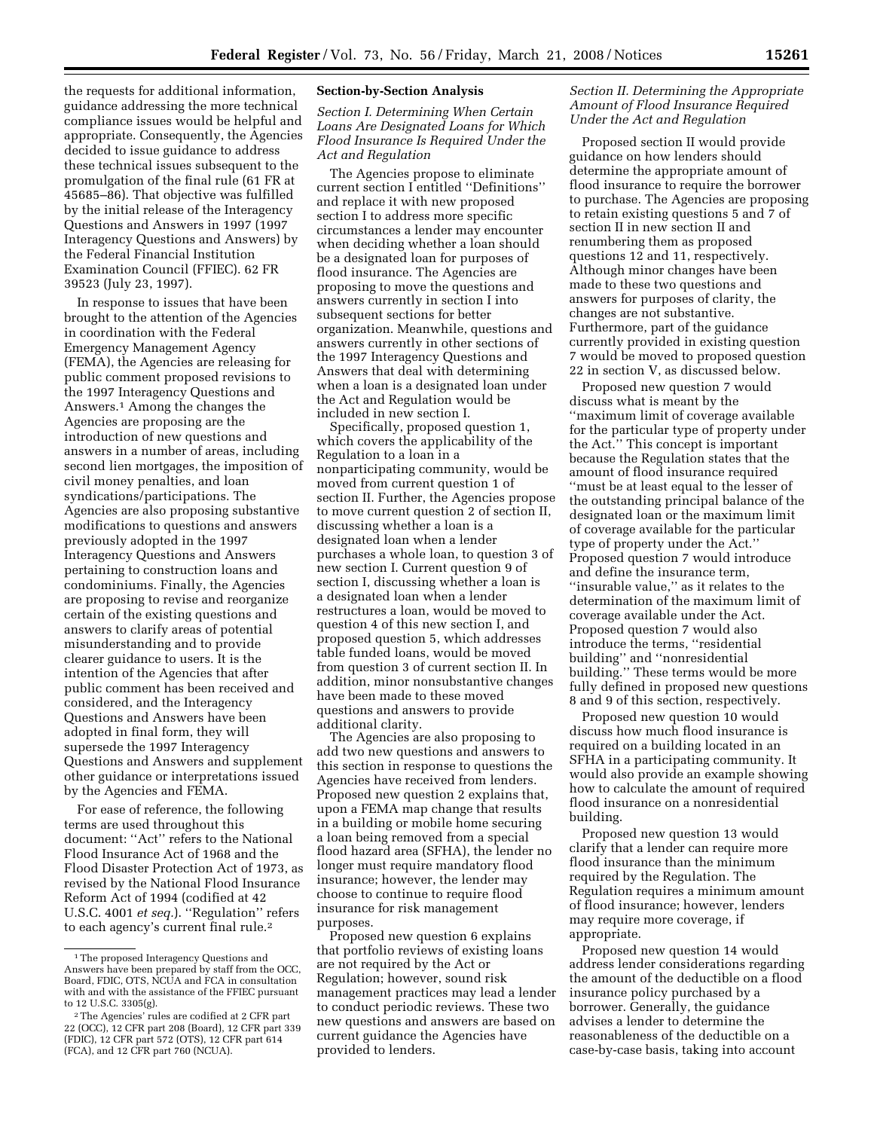the requests for additional information, guidance addressing the more technical compliance issues would be helpful and appropriate. Consequently, the Agencies decided to issue guidance to address these technical issues subsequent to the promulgation of the final rule (61 FR at 45685–86). That objective was fulfilled by the initial release of the Interagency Questions and Answers in 1997 (1997 Interagency Questions and Answers) by the Federal Financial Institution Examination Council (FFIEC). 62 FR 39523 (July 23, 1997).

In response to issues that have been brought to the attention of the Agencies in coordination with the Federal Emergency Management Agency (FEMA), the Agencies are releasing for public comment proposed revisions to the 1997 Interagency Questions and Answers.1 Among the changes the Agencies are proposing are the introduction of new questions and answers in a number of areas, including second lien mortgages, the imposition of civil money penalties, and loan syndications/participations. The Agencies are also proposing substantive modifications to questions and answers previously adopted in the 1997 Interagency Questions and Answers pertaining to construction loans and condominiums. Finally, the Agencies are proposing to revise and reorganize certain of the existing questions and answers to clarify areas of potential misunderstanding and to provide clearer guidance to users. It is the intention of the Agencies that after public comment has been received and considered, and the Interagency Questions and Answers have been adopted in final form, they will supersede the 1997 Interagency Questions and Answers and supplement other guidance or interpretations issued by the Agencies and FEMA.

For ease of reference, the following terms are used throughout this document: ''Act'' refers to the National Flood Insurance Act of 1968 and the Flood Disaster Protection Act of 1973, as revised by the National Flood Insurance Reform Act of 1994 (codified at 42 U.S.C. 4001 *et seq.*). ''Regulation'' refers to each agency's current final rule.2

### **Section-by-Section Analysis**

*Section I. Determining When Certain Loans Are Designated Loans for Which Flood Insurance Is Required Under the Act and Regulation* 

The Agencies propose to eliminate current section I entitled ''Definitions'' and replace it with new proposed section I to address more specific circumstances a lender may encounter when deciding whether a loan should be a designated loan for purposes of flood insurance. The Agencies are proposing to move the questions and answers currently in section I into subsequent sections for better organization. Meanwhile, questions and answers currently in other sections of the 1997 Interagency Questions and Answers that deal with determining when a loan is a designated loan under the Act and Regulation would be included in new section I.

Specifically, proposed question 1, which covers the applicability of the Regulation to a loan in a nonparticipating community, would be moved from current question 1 of section II. Further, the Agencies propose to move current question 2 of section II, discussing whether a loan is a designated loan when a lender purchases a whole loan, to question 3 of new section I. Current question 9 of section I, discussing whether a loan is a designated loan when a lender restructures a loan, would be moved to question 4 of this new section I, and proposed question 5, which addresses table funded loans, would be moved from question 3 of current section II. In addition, minor nonsubstantive changes have been made to these moved questions and answers to provide additional clarity.

The Agencies are also proposing to add two new questions and answers to this section in response to questions the Agencies have received from lenders. Proposed new question 2 explains that, upon a FEMA map change that results in a building or mobile home securing a loan being removed from a special flood hazard area (SFHA), the lender no longer must require mandatory flood insurance; however, the lender may choose to continue to require flood insurance for risk management purposes.

Proposed new question 6 explains that portfolio reviews of existing loans are not required by the Act or Regulation; however, sound risk management practices may lead a lender to conduct periodic reviews. These two new questions and answers are based on current guidance the Agencies have provided to lenders.

## *Section II. Determining the Appropriate Amount of Flood Insurance Required Under the Act and Regulation*

Proposed section II would provide guidance on how lenders should determine the appropriate amount of flood insurance to require the borrower to purchase. The Agencies are proposing to retain existing questions 5 and 7 of section II in new section II and renumbering them as proposed questions 12 and 11, respectively. Although minor changes have been made to these two questions and answers for purposes of clarity, the changes are not substantive. Furthermore, part of the guidance currently provided in existing question 7 would be moved to proposed question 22 in section V, as discussed below.

Proposed new question 7 would discuss what is meant by the ''maximum limit of coverage available for the particular type of property under the Act.'' This concept is important because the Regulation states that the amount of flood insurance required ''must be at least equal to the lesser of the outstanding principal balance of the designated loan or the maximum limit of coverage available for the particular type of property under the Act.'' Proposed question 7 would introduce and define the insurance term, ''insurable value,'' as it relates to the determination of the maximum limit of coverage available under the Act. Proposed question 7 would also introduce the terms, ''residential building'' and ''nonresidential building.'' These terms would be more fully defined in proposed new questions 8 and 9 of this section, respectively.

Proposed new question 10 would discuss how much flood insurance is required on a building located in an SFHA in a participating community. It would also provide an example showing how to calculate the amount of required flood insurance on a nonresidential building.

Proposed new question 13 would clarify that a lender can require more flood insurance than the minimum required by the Regulation. The Regulation requires a minimum amount of flood insurance; however, lenders may require more coverage, if appropriate.

Proposed new question 14 would address lender considerations regarding the amount of the deductible on a flood insurance policy purchased by a borrower. Generally, the guidance advises a lender to determine the reasonableness of the deductible on a case-by-case basis, taking into account

<sup>1</sup>The proposed Interagency Questions and Answers have been prepared by staff from the OCC, Board, FDIC, OTS, NCUA and FCA in consultation with and with the assistance of the FFIEC pursuant to 12 U.S.C. 3305(g).

<sup>2</sup>The Agencies' rules are codified at 2 CFR part 22 (OCC), 12 CFR part 208 (Board), 12 CFR part 339 (FDIC), 12 CFR part 572 (OTS), 12 CFR part 614 (FCA), and 12 CFR part 760 (NCUA).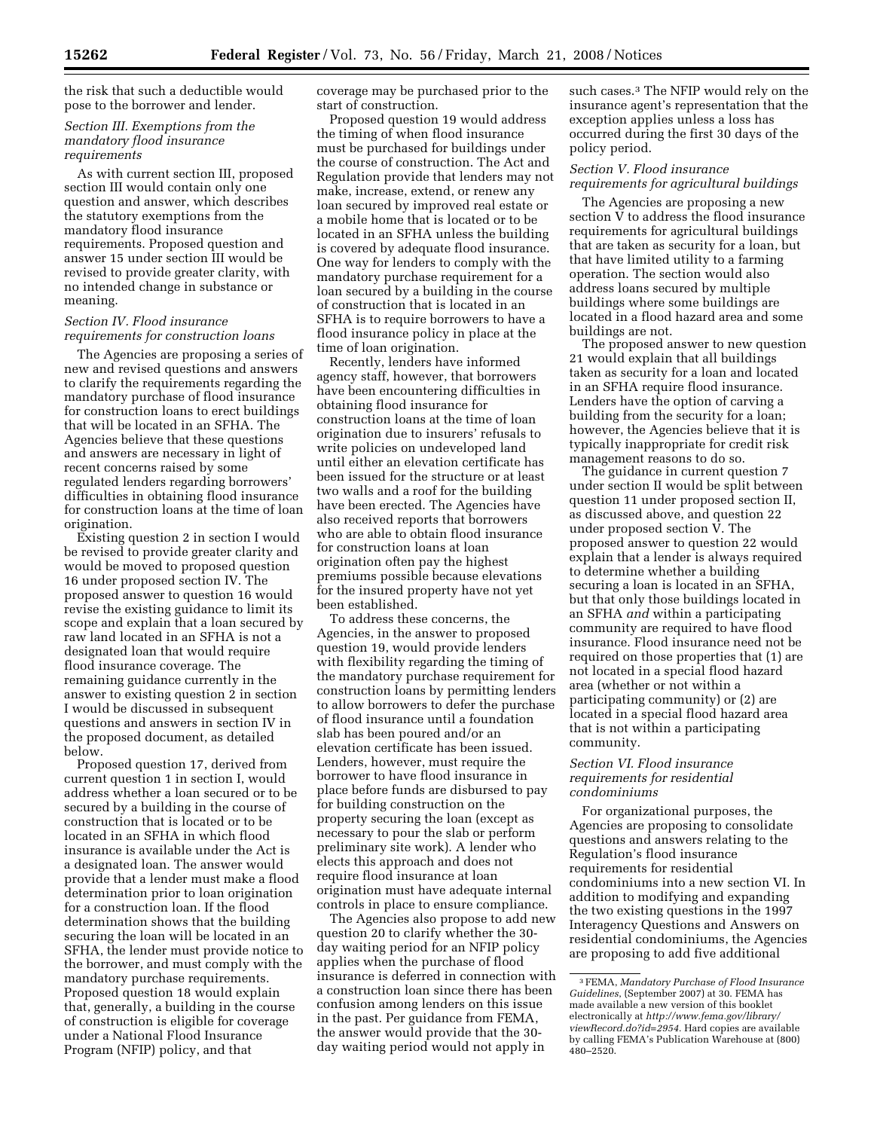the risk that such a deductible would pose to the borrower and lender.

## *Section III. Exemptions from the mandatory flood insurance requirements*

As with current section III, proposed section III would contain only one question and answer, which describes the statutory exemptions from the mandatory flood insurance requirements. Proposed question and answer 15 under section III would be revised to provide greater clarity, with no intended change in substance or meaning.

### *Section IV. Flood insurance requirements for construction loans*

The Agencies are proposing a series of new and revised questions and answers to clarify the requirements regarding the mandatory purchase of flood insurance for construction loans to erect buildings that will be located in an SFHA. The Agencies believe that these questions and answers are necessary in light of recent concerns raised by some regulated lenders regarding borrowers' difficulties in obtaining flood insurance for construction loans at the time of loan origination.

Existing question 2 in section I would be revised to provide greater clarity and would be moved to proposed question 16 under proposed section IV. The proposed answer to question 16 would revise the existing guidance to limit its scope and explain that a loan secured by raw land located in an SFHA is not a designated loan that would require flood insurance coverage. The remaining guidance currently in the answer to existing question 2 in section I would be discussed in subsequent questions and answers in section IV in the proposed document, as detailed below.

Proposed question 17, derived from current question 1 in section I, would address whether a loan secured or to be secured by a building in the course of construction that is located or to be located in an SFHA in which flood insurance is available under the Act is a designated loan. The answer would provide that a lender must make a flood determination prior to loan origination for a construction loan. If the flood determination shows that the building securing the loan will be located in an SFHA, the lender must provide notice to the borrower, and must comply with the mandatory purchase requirements. Proposed question 18 would explain that, generally, a building in the course of construction is eligible for coverage under a National Flood Insurance Program (NFIP) policy, and that

coverage may be purchased prior to the start of construction.

Proposed question 19 would address the timing of when flood insurance must be purchased for buildings under the course of construction. The Act and Regulation provide that lenders may not make, increase, extend, or renew any loan secured by improved real estate or a mobile home that is located or to be located in an SFHA unless the building is covered by adequate flood insurance. One way for lenders to comply with the mandatory purchase requirement for a loan secured by a building in the course of construction that is located in an SFHA is to require borrowers to have a flood insurance policy in place at the time of loan origination.

Recently, lenders have informed agency staff, however, that borrowers have been encountering difficulties in obtaining flood insurance for construction loans at the time of loan origination due to insurers' refusals to write policies on undeveloped land until either an elevation certificate has been issued for the structure or at least two walls and a roof for the building have been erected. The Agencies have also received reports that borrowers who are able to obtain flood insurance for construction loans at loan origination often pay the highest premiums possible because elevations for the insured property have not yet been established.

To address these concerns, the Agencies, in the answer to proposed question 19, would provide lenders with flexibility regarding the timing of the mandatory purchase requirement for construction loans by permitting lenders to allow borrowers to defer the purchase of flood insurance until a foundation slab has been poured and/or an elevation certificate has been issued. Lenders, however, must require the borrower to have flood insurance in place before funds are disbursed to pay for building construction on the property securing the loan (except as necessary to pour the slab or perform preliminary site work). A lender who elects this approach and does not require flood insurance at loan origination must have adequate internal controls in place to ensure compliance.

The Agencies also propose to add new question 20 to clarify whether the 30 day waiting period for an NFIP policy applies when the purchase of flood insurance is deferred in connection with a construction loan since there has been confusion among lenders on this issue in the past. Per guidance from FEMA, the answer would provide that the 30 day waiting period would not apply in

such cases.<sup>3</sup> The NFIP would rely on the insurance agent's representation that the exception applies unless a loss has occurred during the first 30 days of the policy period.

### *Section V. Flood insurance requirements for agricultural buildings*

The Agencies are proposing a new section V to address the flood insurance requirements for agricultural buildings that are taken as security for a loan, but that have limited utility to a farming operation. The section would also address loans secured by multiple buildings where some buildings are located in a flood hazard area and some buildings are not.

The proposed answer to new question 21 would explain that all buildings taken as security for a loan and located in an SFHA require flood insurance. Lenders have the option of carving a building from the security for a loan; however, the Agencies believe that it is typically inappropriate for credit risk management reasons to do so.

The guidance in current question 7 under section II would be split between question 11 under proposed section II, as discussed above, and question 22 under proposed section V. The proposed answer to question 22 would explain that a lender is always required to determine whether a building securing a loan is located in an SFHA, but that only those buildings located in an SFHA *and* within a participating community are required to have flood insurance. Flood insurance need not be required on those properties that (1) are not located in a special flood hazard area (whether or not within a participating community) or (2) are located in a special flood hazard area that is not within a participating community.

#### *Section VI. Flood insurance requirements for residential condominiums*

For organizational purposes, the Agencies are proposing to consolidate questions and answers relating to the Regulation's flood insurance requirements for residential condominiums into a new section VI. In addition to modifying and expanding the two existing questions in the 1997 Interagency Questions and Answers on residential condominiums, the Agencies are proposing to add five additional

<sup>3</sup>FEMA, *Mandatory Purchase of Flood Insurance Guidelines*, (September 2007) at 30. FEMA has made available a new version of this booklet electronically at *http://www.fema.gov/library/ viewRecord.do?id=2954.* Hard copies are available by calling FEMA's Publication Warehouse at (800) 480–2520.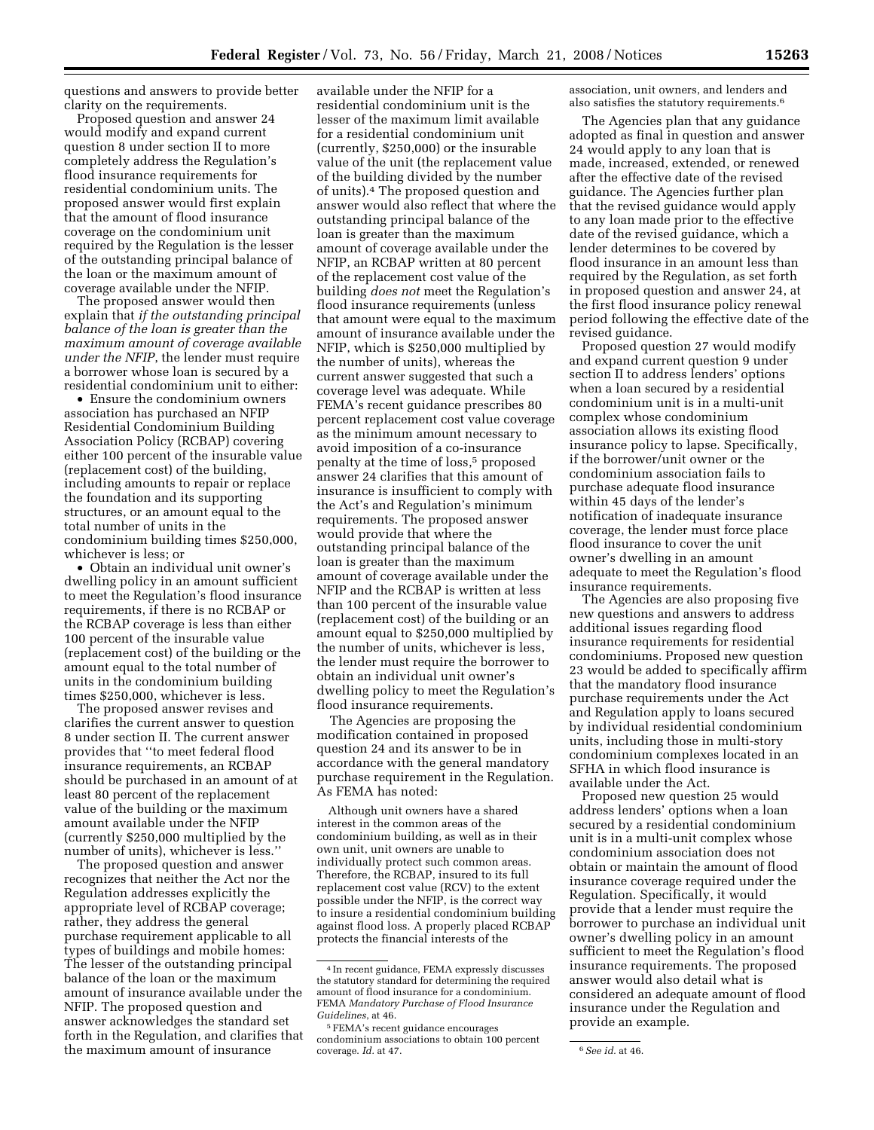questions and answers to provide better clarity on the requirements.

Proposed question and answer 24 would modify and expand current question 8 under section II to more completely address the Regulation's flood insurance requirements for residential condominium units. The proposed answer would first explain that the amount of flood insurance coverage on the condominium unit required by the Regulation is the lesser of the outstanding principal balance of the loan or the maximum amount of coverage available under the NFIP.

The proposed answer would then explain that *if the outstanding principal balance of the loan is greater than the maximum amount of coverage available under the NFIP*, the lender must require a borrower whose loan is secured by a residential condominium unit to either:

• Ensure the condominium owners association has purchased an NFIP Residential Condominium Building Association Policy (RCBAP) covering either 100 percent of the insurable value (replacement cost) of the building, including amounts to repair or replace the foundation and its supporting structures, or an amount equal to the total number of units in the condominium building times \$250,000, whichever is less; or

• Obtain an individual unit owner's dwelling policy in an amount sufficient to meet the Regulation's flood insurance requirements, if there is no RCBAP or the RCBAP coverage is less than either 100 percent of the insurable value (replacement cost) of the building or the amount equal to the total number of units in the condominium building times \$250,000, whichever is less.

The proposed answer revises and clarifies the current answer to question 8 under section II. The current answer provides that ''to meet federal flood insurance requirements, an RCBAP should be purchased in an amount of at least 80 percent of the replacement value of the building or the maximum amount available under the NFIP (currently \$250,000 multiplied by the number of units), whichever is less.''

The proposed question and answer recognizes that neither the Act nor the Regulation addresses explicitly the appropriate level of RCBAP coverage; rather, they address the general purchase requirement applicable to all types of buildings and mobile homes: The lesser of the outstanding principal balance of the loan or the maximum amount of insurance available under the NFIP. The proposed question and answer acknowledges the standard set forth in the Regulation, and clarifies that the maximum amount of insurance

available under the NFIP for a residential condominium unit is the lesser of the maximum limit available for a residential condominium unit (currently, \$250,000) or the insurable value of the unit (the replacement value of the building divided by the number of units).4 The proposed question and answer would also reflect that where the outstanding principal balance of the loan is greater than the maximum amount of coverage available under the NFIP, an RCBAP written at 80 percent of the replacement cost value of the building *does not* meet the Regulation's flood insurance requirements (unless that amount were equal to the maximum amount of insurance available under the NFIP, which is \$250,000 multiplied by the number of units), whereas the current answer suggested that such a coverage level was adequate. While FEMA's recent guidance prescribes 80 percent replacement cost value coverage as the minimum amount necessary to avoid imposition of a co-insurance penalty at the time of loss,<sup>5</sup> proposed answer 24 clarifies that this amount of insurance is insufficient to comply with the Act's and Regulation's minimum requirements. The proposed answer would provide that where the outstanding principal balance of the loan is greater than the maximum amount of coverage available under the NFIP and the RCBAP is written at less than 100 percent of the insurable value (replacement cost) of the building or an amount equal to \$250,000 multiplied by the number of units, whichever is less, the lender must require the borrower to obtain an individual unit owner's dwelling policy to meet the Regulation's flood insurance requirements.

The Agencies are proposing the modification contained in proposed question 24 and its answer to be in accordance with the general mandatory purchase requirement in the Regulation. As FEMA has noted:

Although unit owners have a shared interest in the common areas of the condominium building, as well as in their own unit, unit owners are unable to individually protect such common areas. Therefore, the RCBAP, insured to its full replacement cost value (RCV) to the extent possible under the NFIP, is the correct way to insure a residential condominium building against flood loss. A properly placed RCBAP protects the financial interests of the

association, unit owners, and lenders and also satisfies the statutory requirements.6

The Agencies plan that any guidance adopted as final in question and answer 24 would apply to any loan that is made, increased, extended, or renewed after the effective date of the revised guidance. The Agencies further plan that the revised guidance would apply to any loan made prior to the effective date of the revised guidance, which a lender determines to be covered by flood insurance in an amount less than required by the Regulation, as set forth in proposed question and answer 24, at the first flood insurance policy renewal period following the effective date of the revised guidance.

Proposed question 27 would modify and expand current question 9 under section II to address lenders' options when a loan secured by a residential condominium unit is in a multi-unit complex whose condominium association allows its existing flood insurance policy to lapse. Specifically, if the borrower/unit owner or the condominium association fails to purchase adequate flood insurance within 45 days of the lender's notification of inadequate insurance coverage, the lender must force place flood insurance to cover the unit owner's dwelling in an amount adequate to meet the Regulation's flood insurance requirements.

The Agencies are also proposing five new questions and answers to address additional issues regarding flood insurance requirements for residential condominiums. Proposed new question 23 would be added to specifically affirm that the mandatory flood insurance purchase requirements under the Act and Regulation apply to loans secured by individual residential condominium units, including those in multi-story condominium complexes located in an SFHA in which flood insurance is available under the Act.

Proposed new question 25 would address lenders' options when a loan secured by a residential condominium unit is in a multi-unit complex whose condominium association does not obtain or maintain the amount of flood insurance coverage required under the Regulation. Specifically, it would provide that a lender must require the borrower to purchase an individual unit owner's dwelling policy in an amount sufficient to meet the Regulation's flood insurance requirements. The proposed answer would also detail what is considered an adequate amount of flood insurance under the Regulation and provide an example.

<sup>4</sup> In recent guidance, FEMA expressly discusses the statutory standard for determining the required amount of flood insurance for a condominium. FEMA *Mandatory Purchase of Flood Insurance Guidelines*, at 46.

<sup>5</sup>FEMA's recent guidance encourages condominium associations to obtain 100 percent coverage. *Id.* at 47. 6*See id.* at 46.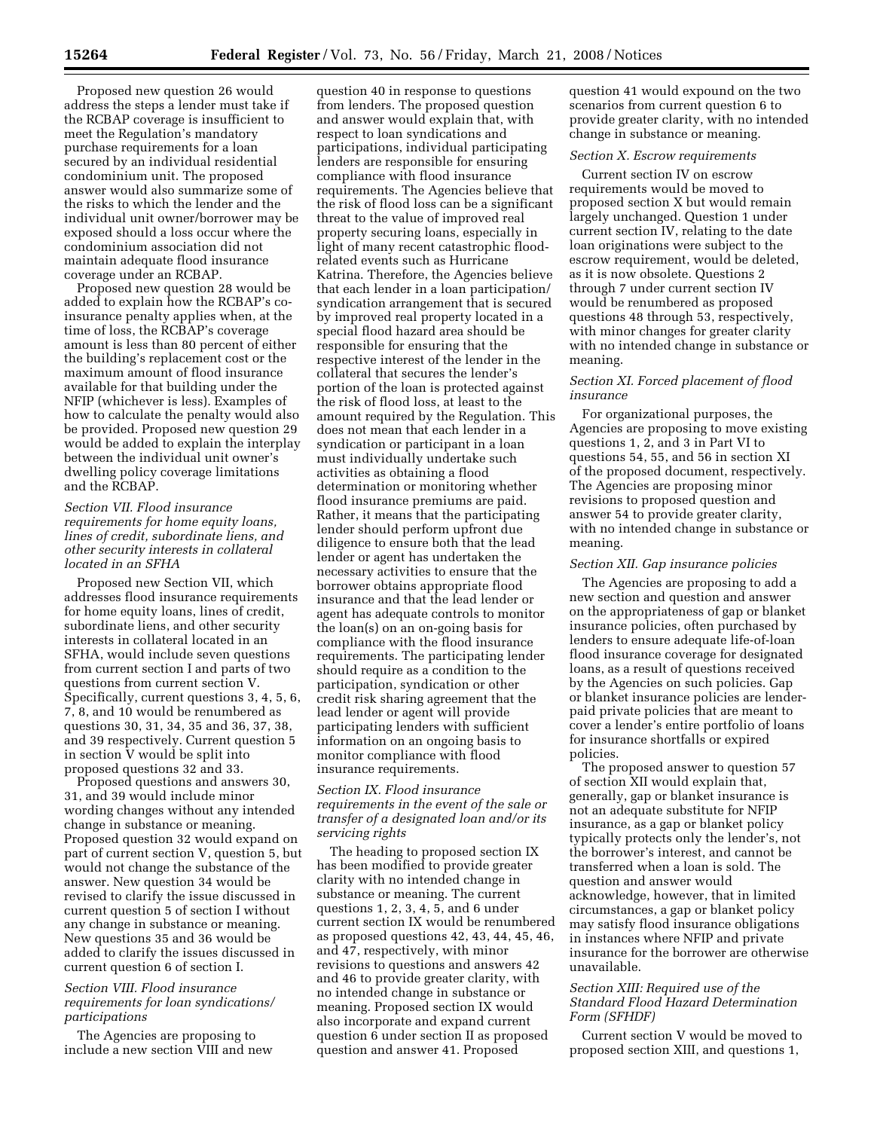Proposed new question 26 would address the steps a lender must take if the RCBAP coverage is insufficient to meet the Regulation's mandatory purchase requirements for a loan secured by an individual residential condominium unit. The proposed answer would also summarize some of the risks to which the lender and the individual unit owner/borrower may be exposed should a loss occur where the condominium association did not maintain adequate flood insurance coverage under an RCBAP.

Proposed new question 28 would be added to explain how the RCBAP's coinsurance penalty applies when, at the time of loss, the RCBAP's coverage amount is less than 80 percent of either the building's replacement cost or the maximum amount of flood insurance available for that building under the NFIP (whichever is less). Examples of how to calculate the penalty would also be provided. Proposed new question 29 would be added to explain the interplay between the individual unit owner's dwelling policy coverage limitations and the RCBAP.

### *Section VII. Flood insurance requirements for home equity loans, lines of credit, subordinate liens, and other security interests in collateral located in an SFHA*

Proposed new Section VII, which addresses flood insurance requirements for home equity loans, lines of credit, subordinate liens, and other security interests in collateral located in an SFHA, would include seven questions from current section I and parts of two questions from current section V. Specifically, current questions 3, 4, 5, 6, 7, 8, and 10 would be renumbered as questions 30, 31, 34, 35 and 36, 37, 38, and 39 respectively. Current question 5 in section V would be split into proposed questions 32 and 33.

Proposed questions and answers 30, 31, and 39 would include minor wording changes without any intended change in substance or meaning. Proposed question 32 would expand on part of current section V, question 5, but would not change the substance of the answer. New question 34 would be revised to clarify the issue discussed in current question 5 of section I without any change in substance or meaning. New questions 35 and 36 would be added to clarify the issues discussed in current question 6 of section I.

#### *Section VIII. Flood insurance requirements for loan syndications/ participations*

The Agencies are proposing to include a new section VIII and new

question 40 in response to questions from lenders. The proposed question and answer would explain that, with respect to loan syndications and participations, individual participating lenders are responsible for ensuring compliance with flood insurance requirements. The Agencies believe that the risk of flood loss can be a significant threat to the value of improved real property securing loans, especially in light of many recent catastrophic floodrelated events such as Hurricane Katrina. Therefore, the Agencies believe that each lender in a loan participation/ syndication arrangement that is secured by improved real property located in a special flood hazard area should be responsible for ensuring that the respective interest of the lender in the collateral that secures the lender's portion of the loan is protected against the risk of flood loss, at least to the amount required by the Regulation. This does not mean that each lender in a syndication or participant in a loan must individually undertake such activities as obtaining a flood determination or monitoring whether flood insurance premiums are paid. Rather, it means that the participating lender should perform upfront due diligence to ensure both that the lead lender or agent has undertaken the necessary activities to ensure that the borrower obtains appropriate flood insurance and that the lead lender or agent has adequate controls to monitor the loan(s) on an on-going basis for compliance with the flood insurance requirements. The participating lender should require as a condition to the participation, syndication or other credit risk sharing agreement that the lead lender or agent will provide participating lenders with sufficient information on an ongoing basis to monitor compliance with flood insurance requirements.

#### *Section IX. Flood insurance requirements in the event of the sale or transfer of a designated loan and/or its servicing rights*

The heading to proposed section IX has been modified to provide greater clarity with no intended change in substance or meaning. The current questions 1, 2, 3, 4, 5, and 6 under current section IX would be renumbered as proposed questions 42, 43, 44, 45, 46, and 47, respectively, with minor revisions to questions and answers 42 and 46 to provide greater clarity, with no intended change in substance or meaning. Proposed section IX would also incorporate and expand current question 6 under section II as proposed question and answer 41. Proposed

question 41 would expound on the two scenarios from current question 6 to provide greater clarity, with no intended change in substance or meaning.

### *Section X. Escrow requirements*

Current section IV on escrow requirements would be moved to proposed section X but would remain largely unchanged. Question 1 under current section IV, relating to the date loan originations were subject to the escrow requirement, would be deleted, as it is now obsolete. Questions 2 through 7 under current section IV would be renumbered as proposed questions 48 through 53, respectively, with minor changes for greater clarity with no intended change in substance or meaning.

### *Section XI. Forced placement of flood insurance*

For organizational purposes, the Agencies are proposing to move existing questions 1, 2, and 3 in Part VI to questions 54, 55, and 56 in section XI of the proposed document, respectively. The Agencies are proposing minor revisions to proposed question and answer 54 to provide greater clarity, with no intended change in substance or meaning.

#### *Section XII. Gap insurance policies*

The Agencies are proposing to add a new section and question and answer on the appropriateness of gap or blanket insurance policies, often purchased by lenders to ensure adequate life-of-loan flood insurance coverage for designated loans, as a result of questions received by the Agencies on such policies. Gap or blanket insurance policies are lenderpaid private policies that are meant to cover a lender's entire portfolio of loans for insurance shortfalls or expired policies.

The proposed answer to question 57 of section XII would explain that, generally, gap or blanket insurance is not an adequate substitute for NFIP insurance, as a gap or blanket policy typically protects only the lender's, not the borrower's interest, and cannot be transferred when a loan is sold. The question and answer would acknowledge, however, that in limited circumstances, a gap or blanket policy may satisfy flood insurance obligations in instances where NFIP and private insurance for the borrower are otherwise unavailable.

#### *Section XIII: Required use of the Standard Flood Hazard Determination Form (SFHDF)*

Current section V would be moved to proposed section XIII, and questions 1,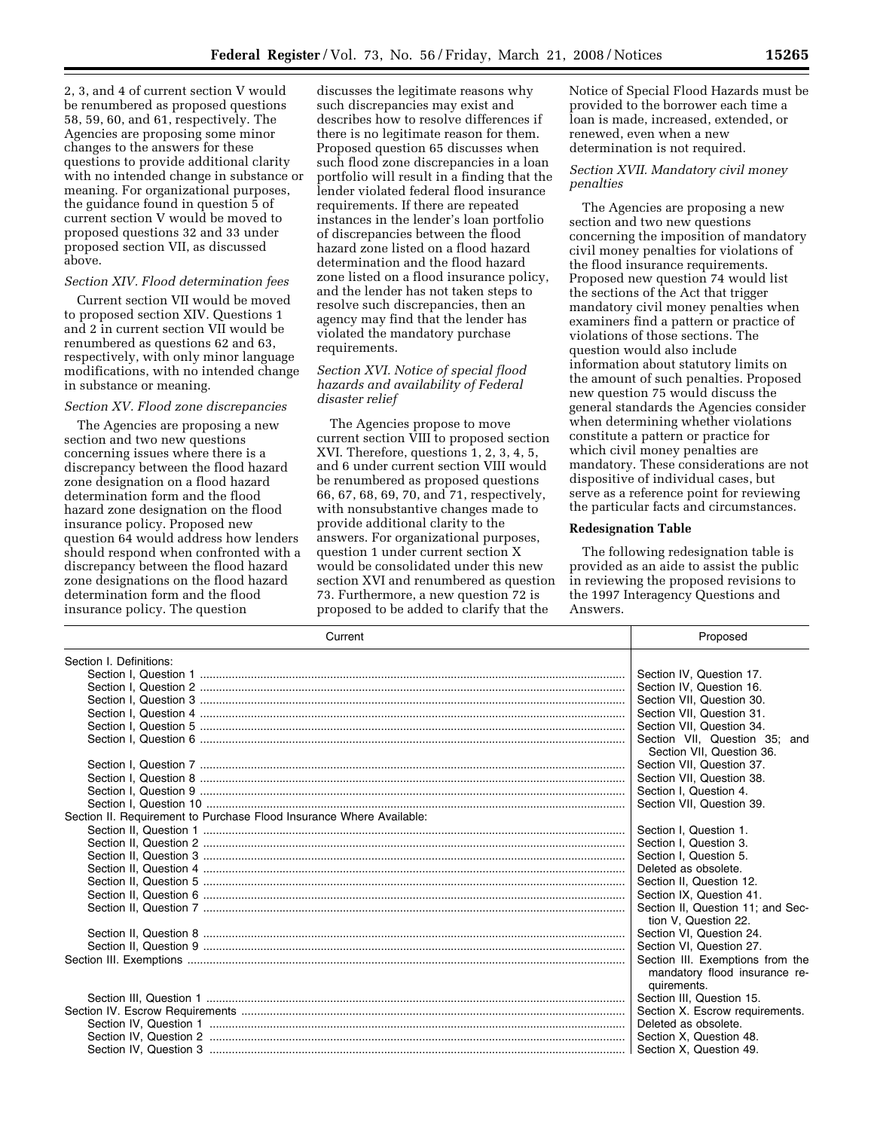2, 3, and 4 of current section V would be renumbered as proposed questions 58, 59, 60, and 61, respectively. The Agencies are proposing some minor changes to the answers for these questions to provide additional clarity with no intended change in substance or meaning. For organizational purposes, the guidance found in question 5 of current section V would be moved to proposed questions 32 and 33 under proposed section VII, as discussed above.

#### *Section XIV. Flood determination fees*

Current section VII would be moved to proposed section XIV. Questions 1 and 2 in current section VII would be renumbered as questions 62 and 63, respectively, with only minor language modifications, with no intended change in substance or meaning.

#### *Section XV. Flood zone discrepancies*

The Agencies are proposing a new section and two new questions concerning issues where there is a discrepancy between the flood hazard zone designation on a flood hazard determination form and the flood hazard zone designation on the flood insurance policy. Proposed new question 64 would address how lenders should respond when confronted with a discrepancy between the flood hazard zone designations on the flood hazard determination form and the flood insurance policy. The question

discusses the legitimate reasons why such discrepancies may exist and describes how to resolve differences if there is no legitimate reason for them. Proposed question 65 discusses when such flood zone discrepancies in a loan portfolio will result in a finding that the lender violated federal flood insurance requirements. If there are repeated instances in the lender's loan portfolio of discrepancies between the flood hazard zone listed on a flood hazard determination and the flood hazard zone listed on a flood insurance policy, and the lender has not taken steps to resolve such discrepancies, then an agency may find that the lender has violated the mandatory purchase requirements.

### *Section XVI. Notice of special flood hazards and availability of Federal disaster relief*

The Agencies propose to move current section VIII to proposed section XVI. Therefore, questions 1, 2, 3, 4, 5, and 6 under current section VIII would be renumbered as proposed questions 66, 67, 68, 69, 70, and 71, respectively, with nonsubstantive changes made to provide additional clarity to the answers. For organizational purposes, question 1 under current section X would be consolidated under this new section XVI and renumbered as question 73. Furthermore, a new question 72 is proposed to be added to clarify that the

Notice of Special Flood Hazards must be provided to the borrower each time a loan is made, increased, extended, or renewed, even when a new determination is not required.

### *Section XVII. Mandatory civil money penalties*

The Agencies are proposing a new section and two new questions concerning the imposition of mandatory civil money penalties for violations of the flood insurance requirements. Proposed new question 74 would list the sections of the Act that trigger mandatory civil money penalties when examiners find a pattern or practice of violations of those sections. The question would also include information about statutory limits on the amount of such penalties. Proposed new question 75 would discuss the general standards the Agencies consider when determining whether violations constitute a pattern or practice for which civil money penalties are mandatory. These considerations are not dispositive of individual cases, but serve as a reference point for reviewing the particular facts and circumstances.

#### **Redesignation Table**

The following redesignation table is provided as an aide to assist the public in reviewing the proposed revisions to the 1997 Interagency Questions and Answers.

| Current                                                              | Proposed                          |
|----------------------------------------------------------------------|-----------------------------------|
| Section I. Definitions:                                              |                                   |
|                                                                      | Section IV, Question 17.          |
|                                                                      | Section IV. Question 16.          |
|                                                                      | Section VII, Question 30.         |
|                                                                      | Section VII, Question 31.         |
|                                                                      | Section VII. Question 34.         |
|                                                                      | Section VII. Question 35: and     |
|                                                                      | Section VII, Question 36.         |
|                                                                      | Section VII, Question 37.         |
|                                                                      | Section VII. Question 38.         |
|                                                                      | Section I, Question 4.            |
|                                                                      | Section VII. Question 39.         |
| Section II. Requirement to Purchase Flood Insurance Where Available: |                                   |
|                                                                      | Section I, Question 1.            |
|                                                                      | Section I. Question 3.            |
|                                                                      | Section I. Question 5.            |
|                                                                      | Deleted as obsolete.              |
|                                                                      | Section II, Question 12.          |
|                                                                      | Section IX. Question 41.          |
|                                                                      | Section II, Question 11; and Sec- |
|                                                                      | tion V. Question 22.              |
|                                                                      | Section VI, Question 24.          |
|                                                                      | Section VI, Question 27.          |
|                                                                      | Section III. Exemptions from the  |
|                                                                      | mandatory flood insurance re-     |
|                                                                      | quirements.                       |
|                                                                      | Section III, Question 15.         |
|                                                                      | Section X. Escrow requirements.   |
|                                                                      | Deleted as obsolete.              |
|                                                                      | Section X, Question 48.           |
|                                                                      |                                   |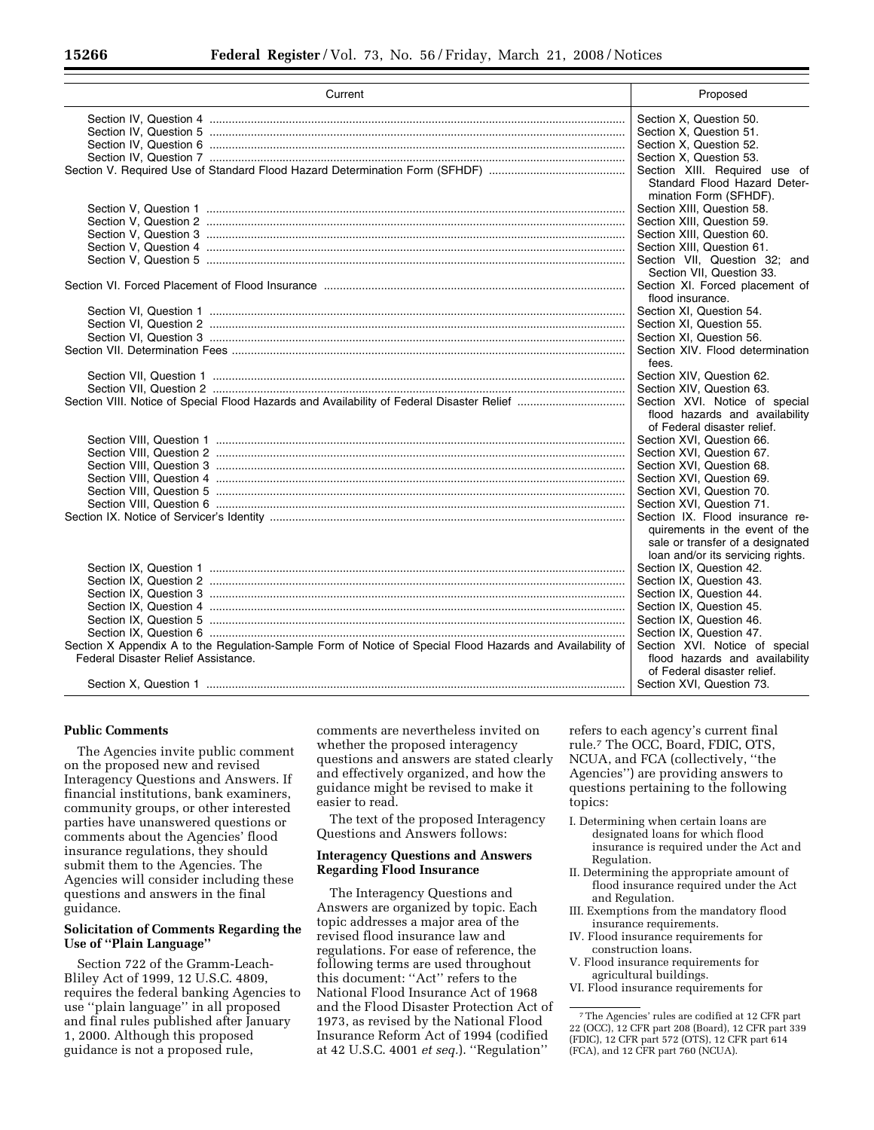| Current                                                                                                   | Proposed                                                           |
|-----------------------------------------------------------------------------------------------------------|--------------------------------------------------------------------|
|                                                                                                           | Section X, Question 50.                                            |
|                                                                                                           | Section X, Question 51.                                            |
|                                                                                                           | Section X, Question 52.                                            |
|                                                                                                           | Section X, Question 53.                                            |
|                                                                                                           | Section XIII. Required use of                                      |
|                                                                                                           | Standard Flood Hazard Deter-<br>mination Form (SFHDF).             |
|                                                                                                           | Section XIII, Question 58.                                         |
|                                                                                                           | Section XIII, Question 59.                                         |
|                                                                                                           | Section XIII, Question 60.                                         |
|                                                                                                           | Section XIII. Question 61.                                         |
|                                                                                                           | Section VII. Question 32: and                                      |
|                                                                                                           | Section VII, Question 33.                                          |
|                                                                                                           | Section XI. Forced placement of                                    |
|                                                                                                           | flood insurance.                                                   |
|                                                                                                           | Section XI, Question 54.                                           |
|                                                                                                           | Section XI, Question 55.                                           |
|                                                                                                           | Section XI, Question 56.                                           |
|                                                                                                           | Section XIV. Flood determination                                   |
|                                                                                                           | fees.                                                              |
|                                                                                                           | Section XIV, Question 62.                                          |
|                                                                                                           | Section XIV, Question 63.                                          |
|                                                                                                           | Section XVI. Notice of special                                     |
|                                                                                                           | flood hazards and availability<br>of Federal disaster relief.      |
|                                                                                                           | Section XVI, Question 66.                                          |
|                                                                                                           | Section XVI, Question 67.                                          |
|                                                                                                           | Section XVI, Question 68.                                          |
|                                                                                                           | Section XVI, Question 69.                                          |
|                                                                                                           | Section XVI, Question 70.                                          |
|                                                                                                           | Section XVI, Question 71.                                          |
|                                                                                                           | Section IX. Flood insurance re-                                    |
|                                                                                                           | quirements in the event of the<br>sale or transfer of a designated |
|                                                                                                           | loan and/or its servicing rights.                                  |
|                                                                                                           | Section IX, Question 42.                                           |
|                                                                                                           | Section IX, Question 43.                                           |
|                                                                                                           | Section IX, Question 44.                                           |
|                                                                                                           | Section IX, Question 45.                                           |
|                                                                                                           | Section IX, Question 46.                                           |
|                                                                                                           | Section IX, Question 47.                                           |
| Section X Appendix A to the Regulation-Sample Form of Notice of Special Flood Hazards and Availability of | Section XVI. Notice of special                                     |
| Federal Disaster Relief Assistance.                                                                       | flood hazards and availability<br>of Federal disaster relief.      |
|                                                                                                           | Section XVI, Question 73.                                          |

## **Public Comments**

The Agencies invite public comment on the proposed new and revised Interagency Questions and Answers. If financial institutions, bank examiners, community groups, or other interested parties have unanswered questions or comments about the Agencies' flood insurance regulations, they should submit them to the Agencies. The Agencies will consider including these questions and answers in the final guidance.

#### **Solicitation of Comments Regarding the Use of ''Plain Language''**

Section 722 of the Gramm-Leach-Bliley Act of 1999, 12 U.S.C. 4809, requires the federal banking Agencies to use ''plain language'' in all proposed and final rules published after January 1, 2000. Although this proposed guidance is not a proposed rule,

comments are nevertheless invited on whether the proposed interagency questions and answers are stated clearly and effectively organized, and how the guidance might be revised to make it easier to read.

The text of the proposed Interagency Questions and Answers follows:

### **Interagency Questions and Answers Regarding Flood Insurance**

The Interagency Questions and Answers are organized by topic. Each topic addresses a major area of the revised flood insurance law and regulations. For ease of reference, the following terms are used throughout this document: ''Act'' refers to the National Flood Insurance Act of 1968 and the Flood Disaster Protection Act of 1973, as revised by the National Flood Insurance Reform Act of 1994 (codified at 42 U.S.C. 4001 *et seq.*). ''Regulation''

refers to each agency's current final rule.7 The OCC, Board, FDIC, OTS, NCUA, and FCA (collectively, ''the Agencies'') are providing answers to questions pertaining to the following topics:

- I. Determining when certain loans are designated loans for which flood insurance is required under the Act and Regulation.
- II. Determining the appropriate amount of flood insurance required under the Act and Regulation.
- III. Exemptions from the mandatory flood insurance requirements.
- IV. Flood insurance requirements for construction loans.
- V. Flood insurance requirements for agricultural buildings.
- VI. Flood insurance requirements for

<sup>7</sup>The Agencies' rules are codified at 12 CFR part 22 (OCC), 12 CFR part 208 (Board), 12 CFR part 339 (FDIC), 12 CFR part 572 (OTS), 12 CFR part 614 (FCA), and 12 CFR part 760 (NCUA).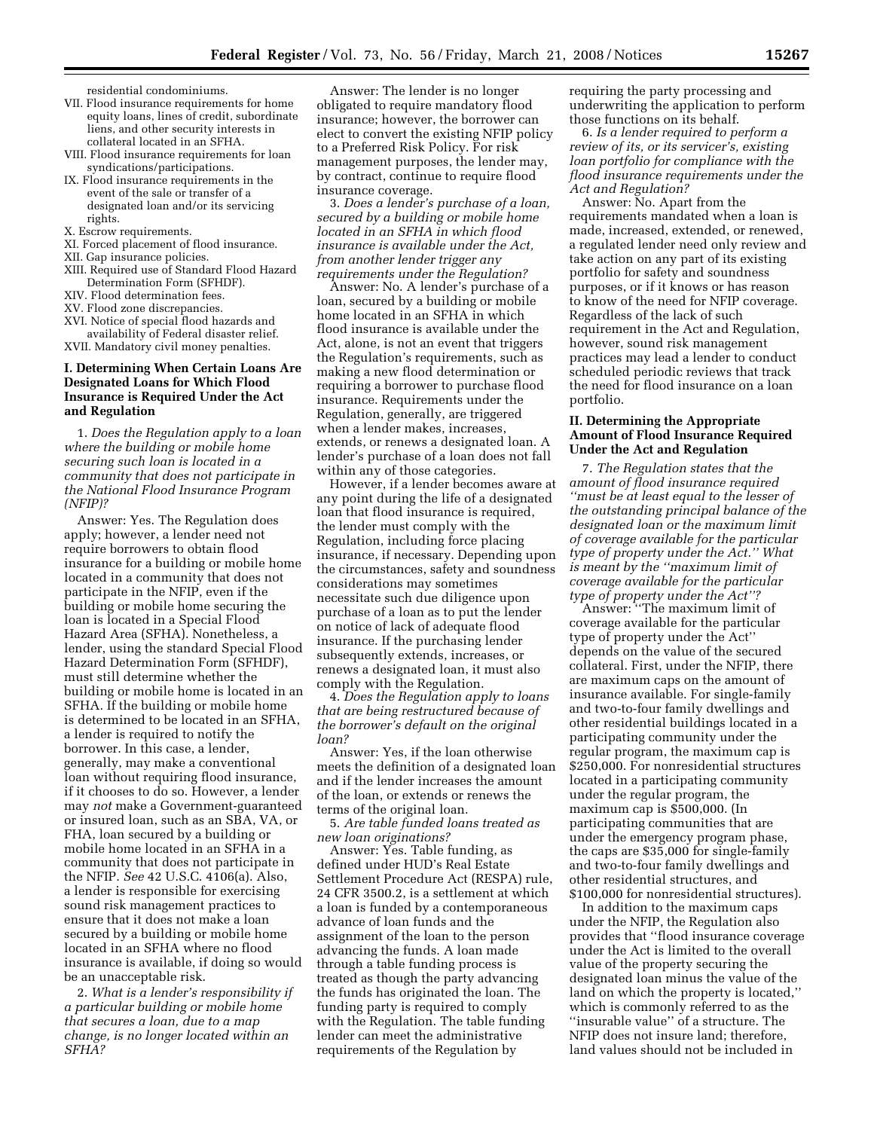residential condominiums.

- VII. Flood insurance requirements for home equity loans, lines of credit, subordinate liens, and other security interests in collateral located in an SFHA.
- VIII. Flood insurance requirements for loan syndications/participations.
- IX. Flood insurance requirements in the event of the sale or transfer of a designated loan and/or its servicing rights.
- X. Escrow requirements.
- XI. Forced placement of flood insurance.
- XII. Gap insurance policies.
- XIII. Required use of Standard Flood Hazard Determination Form (SFHDF).
- XIV. Flood determination fees.
- XV. Flood zone discrepancies.
- XVI. Notice of special flood hazards and availability of Federal disaster relief.
- XVII. Mandatory civil money penalties.

## **I. Determining When Certain Loans Are Designated Loans for Which Flood Insurance is Required Under the Act and Regulation**

1. *Does the Regulation apply to a loan where the building or mobile home securing such loan is located in a community that does not participate in the National Flood Insurance Program (NFIP)?* 

Answer: Yes. The Regulation does apply; however, a lender need not require borrowers to obtain flood insurance for a building or mobile home located in a community that does not participate in the NFIP, even if the building or mobile home securing the loan is located in a Special Flood Hazard Area (SFHA). Nonetheless, a lender, using the standard Special Flood Hazard Determination Form (SFHDF), must still determine whether the building or mobile home is located in an SFHA. If the building or mobile home is determined to be located in an SFHA, a lender is required to notify the borrower. In this case, a lender, generally, may make a conventional loan without requiring flood insurance, if it chooses to do so. However, a lender may *not* make a Government-guaranteed or insured loan, such as an SBA, VA, or FHA, loan secured by a building or mobile home located in an SFHA in a community that does not participate in the NFIP. *See* 42 U.S.C. 4106(a). Also, a lender is responsible for exercising sound risk management practices to ensure that it does not make a loan secured by a building or mobile home located in an SFHA where no flood insurance is available, if doing so would be an unacceptable risk.

2. *What is a lender's responsibility if a particular building or mobile home that secures a loan, due to a map change, is no longer located within an SFHA?* 

Answer: The lender is no longer obligated to require mandatory flood insurance; however, the borrower can elect to convert the existing NFIP policy to a Preferred Risk Policy. For risk management purposes, the lender may, by contract, continue to require flood insurance coverage.

3. *Does a lender's purchase of a loan, secured by a building or mobile home located in an SFHA in which flood insurance is available under the Act, from another lender trigger any requirements under the Regulation?* 

Answer: No. A lender's purchase of a loan, secured by a building or mobile home located in an SFHA in which flood insurance is available under the Act, alone, is not an event that triggers the Regulation's requirements, such as making a new flood determination or requiring a borrower to purchase flood insurance. Requirements under the Regulation, generally, are triggered when a lender makes, increases, extends, or renews a designated loan. A lender's purchase of a loan does not fall within any of those categories.

However, if a lender becomes aware at any point during the life of a designated loan that flood insurance is required, the lender must comply with the Regulation, including force placing insurance, if necessary. Depending upon the circumstances, safety and soundness considerations may sometimes necessitate such due diligence upon purchase of a loan as to put the lender on notice of lack of adequate flood insurance. If the purchasing lender subsequently extends, increases, or renews a designated loan, it must also comply with the Regulation.

4. *Does the Regulation apply to loans that are being restructured because of the borrower's default on the original loan?* 

Answer: Yes, if the loan otherwise meets the definition of a designated loan and if the lender increases the amount of the loan, or extends or renews the terms of the original loan.

5. *Are table funded loans treated as new loan originations?* 

Answer: Yes. Table funding, as defined under HUD's Real Estate Settlement Procedure Act (RESPA) rule, 24 CFR 3500.2, is a settlement at which a loan is funded by a contemporaneous advance of loan funds and the assignment of the loan to the person advancing the funds. A loan made through a table funding process is treated as though the party advancing the funds has originated the loan. The funding party is required to comply with the Regulation. The table funding lender can meet the administrative requirements of the Regulation by

requiring the party processing and underwriting the application to perform those functions on its behalf.

6. *Is a lender required to perform a review of its, or its servicer's, existing loan portfolio for compliance with the flood insurance requirements under the Act and Regulation?* 

Answer: No. Apart from the requirements mandated when a loan is made, increased, extended, or renewed, a regulated lender need only review and take action on any part of its existing portfolio for safety and soundness purposes, or if it knows or has reason to know of the need for NFIP coverage. Regardless of the lack of such requirement in the Act and Regulation, however, sound risk management practices may lead a lender to conduct scheduled periodic reviews that track the need for flood insurance on a loan portfolio.

#### **II. Determining the Appropriate Amount of Flood Insurance Required Under the Act and Regulation**

7. *The Regulation states that the amount of flood insurance required ''must be at least equal to the lesser of the outstanding principal balance of the designated loan or the maximum limit of coverage available for the particular type of property under the Act.'' What is meant by the ''maximum limit of coverage available for the particular type of property under the Act''?* 

Answer: ''The maximum limit of coverage available for the particular type of property under the Act'' depends on the value of the secured collateral. First, under the NFIP, there are maximum caps on the amount of insurance available. For single-family and two-to-four family dwellings and other residential buildings located in a participating community under the regular program, the maximum cap is \$250,000. For nonresidential structures located in a participating community under the regular program, the maximum cap is \$500,000. (In participating communities that are under the emergency program phase, the caps are \$35,000 for single-family and two-to-four family dwellings and other residential structures, and \$100,000 for nonresidential structures).

In addition to the maximum caps under the NFIP, the Regulation also provides that ''flood insurance coverage under the Act is limited to the overall value of the property securing the designated loan minus the value of the land on which the property is located,'' which is commonly referred to as the ''insurable value'' of a structure. The NFIP does not insure land; therefore, land values should not be included in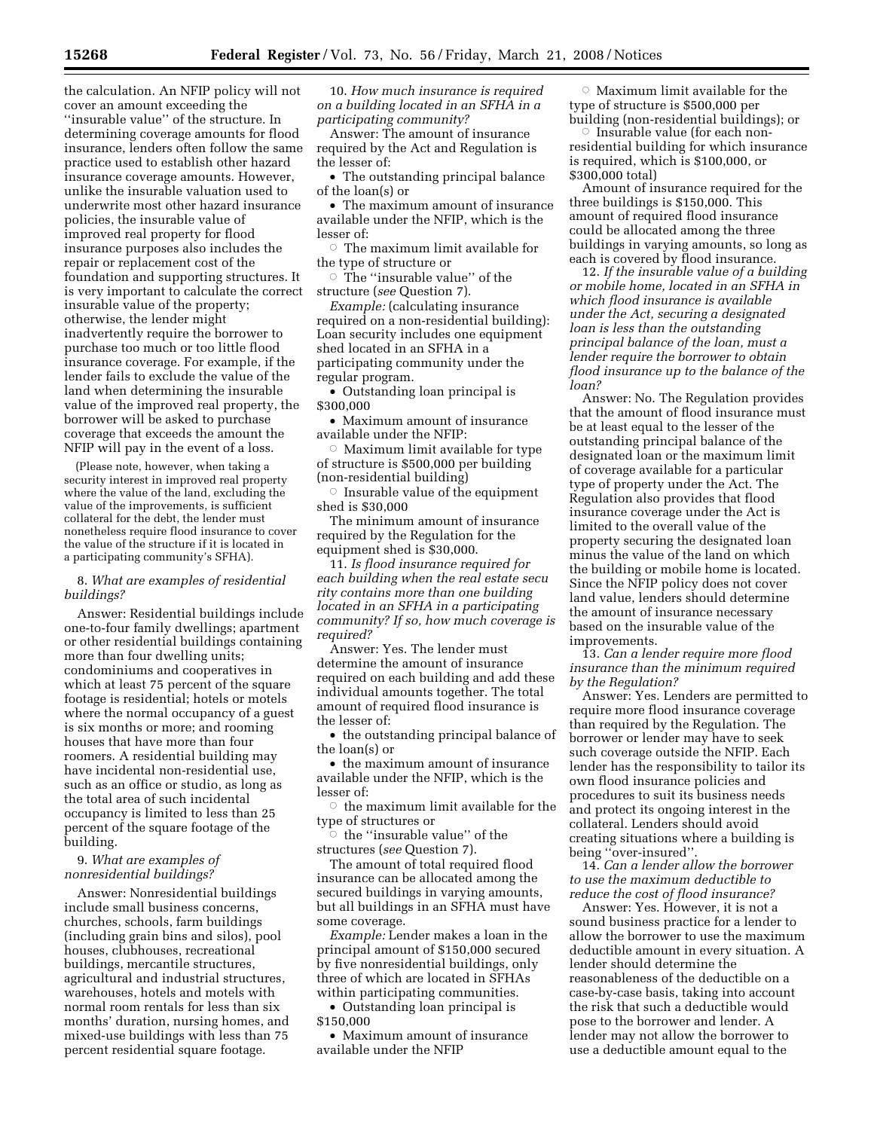the calculation. An NFIP policy will not cover an amount exceeding the ''insurable value'' of the structure. In determining coverage amounts for flood insurance, lenders often follow the same practice used to establish other hazard insurance coverage amounts. However, unlike the insurable valuation used to underwrite most other hazard insurance policies, the insurable value of improved real property for flood insurance purposes also includes the repair or replacement cost of the foundation and supporting structures. It is very important to calculate the correct insurable value of the property; otherwise, the lender might inadvertently require the borrower to purchase too much or too little flood insurance coverage. For example, if the lender fails to exclude the value of the land when determining the insurable value of the improved real property, the borrower will be asked to purchase coverage that exceeds the amount the NFIP will pay in the event of a loss.

(Please note, however, when taking a security interest in improved real property where the value of the land, excluding the value of the improvements, is sufficient collateral for the debt, the lender must nonetheless require flood insurance to cover the value of the structure if it is located in a participating community's SFHA).

#### 8. *What are examples of residential buildings?*

Answer: Residential buildings include one-to-four family dwellings; apartment or other residential buildings containing more than four dwelling units; condominiums and cooperatives in which at least 75 percent of the square footage is residential; hotels or motels where the normal occupancy of a guest is six months or more; and rooming houses that have more than four roomers. A residential building may have incidental non-residential use, such as an office or studio, as long as the total area of such incidental occupancy is limited to less than 25 percent of the square footage of the building.

## 9. *What are examples of nonresidential buildings?*

Answer: Nonresidential buildings include small business concerns, churches, schools, farm buildings (including grain bins and silos), pool houses, clubhouses, recreational buildings, mercantile structures, agricultural and industrial structures, warehouses, hotels and motels with normal room rentals for less than six months' duration, nursing homes, and mixed-use buildings with less than 75 percent residential square footage.

10. *How much insurance is required on a building located in an SFHA in a participating community?* 

Answer: The amount of insurance required by the Act and Regulation is the lesser of:

• The outstanding principal balance of the loan(s) or

• The maximum amount of insurance available under the NFIP, which is the lesser of:

 $\circ$  The maximum limit available for the type of structure or

 $\circ$  The "insurable value" of the structure (*see* Question 7).

*Example:* (calculating insurance required on a non-residential building): Loan security includes one equipment shed located in an SFHA in a participating community under the regular program.

• Outstanding loan principal is \$300,000

• Maximum amount of insurance available under the NFIP:

 $\circ$  Maximum limit available for type of structure is \$500,000 per building (non-residential building)

 $\circ$  Insurable value of the equipment shed is \$30,000

The minimum amount of insurance required by the Regulation for the equipment shed is \$30,000.

11. *Is flood insurance required for each building when the real estate secu rity contains more than one building located in an SFHA in a participating community? If so, how much coverage is required?* 

Answer: Yes. The lender must determine the amount of insurance required on each building and add these individual amounts together. The total amount of required flood insurance is the lesser of:

• the outstanding principal balance of the loan(s) or

• the maximum amount of insurance available under the NFIP, which is the lesser of:

 $\circ\,$  the maximum limit available for the type of structures or

 $\circ$  the "insurable value" of the structures (*see* Question 7).

The amount of total required flood insurance can be allocated among the secured buildings in varying amounts, but all buildings in an SFHA must have some coverage.

*Example:* Lender makes a loan in the principal amount of \$150,000 secured by five nonresidential buildings, only three of which are located in SFHAs within participating communities.

• Outstanding loan principal is \$150,000

• Maximum amount of insurance available under the NFIP

 $\circ$ Maximum limit available for the type of structure is \$500,000 per building (non-residential buildings); or

 $\circ$  Insurable value (for each nonresidential building for which insurance is required, which is \$100,000, or \$300,000 total)

Amount of insurance required for the three buildings is \$150,000. This amount of required flood insurance could be allocated among the three buildings in varying amounts, so long as each is covered by flood insurance.

12. *If the insurable value of a building or mobile home, located in an SFHA in which flood insurance is available under the Act, securing a designated loan is less than the outstanding principal balance of the loan, must a lender require the borrower to obtain flood insurance up to the balance of the loan?* 

Answer: No. The Regulation provides that the amount of flood insurance must be at least equal to the lesser of the outstanding principal balance of the designated loan or the maximum limit of coverage available for a particular type of property under the Act. The Regulation also provides that flood insurance coverage under the Act is limited to the overall value of the property securing the designated loan minus the value of the land on which the building or mobile home is located. Since the NFIP policy does not cover land value, lenders should determine the amount of insurance necessary based on the insurable value of the improvements.

13. *Can a lender require more flood insurance than the minimum required by the Regulation?* 

Answer: Yes. Lenders are permitted to require more flood insurance coverage than required by the Regulation. The borrower or lender may have to seek such coverage outside the NFIP. Each lender has the responsibility to tailor its own flood insurance policies and procedures to suit its business needs and protect its ongoing interest in the collateral. Lenders should avoid creating situations where a building is being ''over-insured''.

14. *Can a lender allow the borrower to use the maximum deductible to reduce the cost of flood insurance?* 

Answer: Yes. However, it is not a sound business practice for a lender to allow the borrower to use the maximum deductible amount in every situation. A lender should determine the reasonableness of the deductible on a case-by-case basis, taking into account the risk that such a deductible would pose to the borrower and lender. A lender may not allow the borrower to use a deductible amount equal to the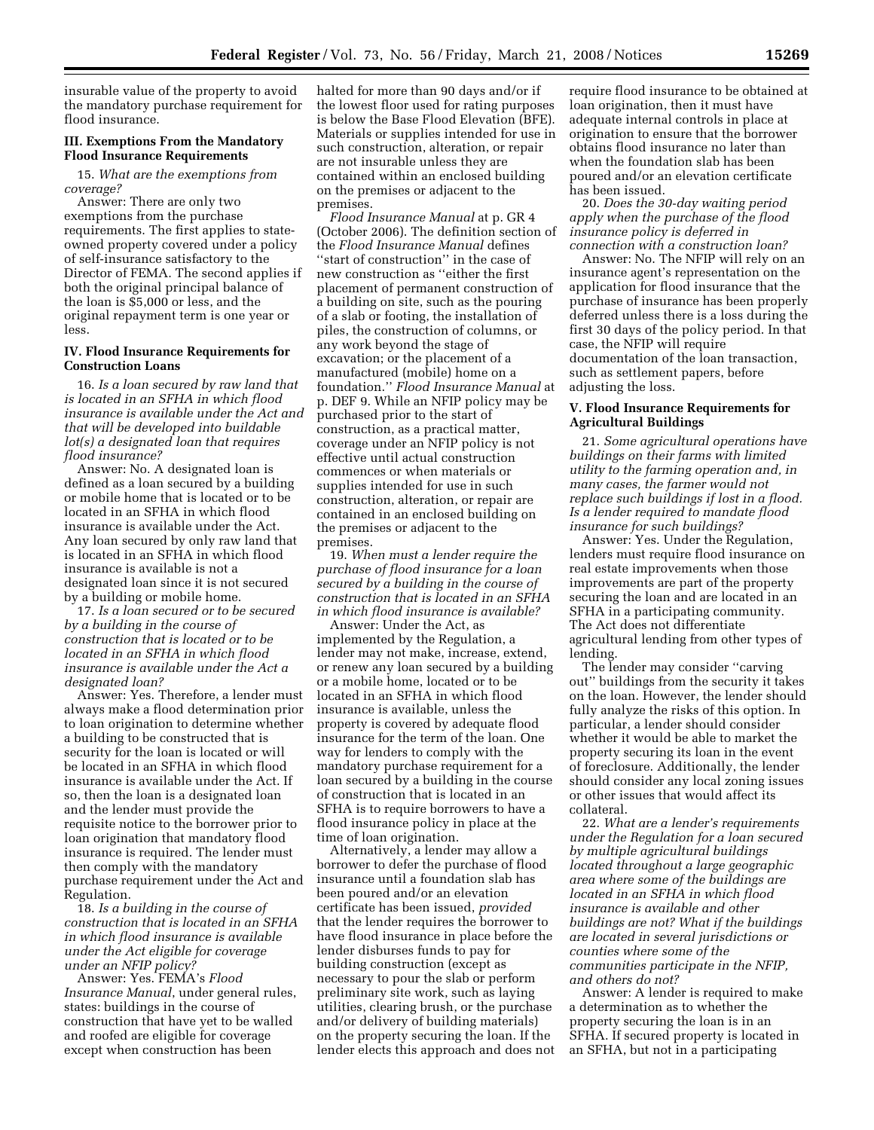insurable value of the property to avoid the mandatory purchase requirement for flood insurance.

#### **III. Exemptions From the Mandatory Flood Insurance Requirements**

15. *What are the exemptions from coverage?* 

Answer: There are only two exemptions from the purchase requirements. The first applies to stateowned property covered under a policy of self-insurance satisfactory to the Director of FEMA. The second applies if both the original principal balance of the loan is \$5,000 or less, and the original repayment term is one year or less.

#### **IV. Flood Insurance Requirements for Construction Loans**

16. *Is a loan secured by raw land that is located in an SFHA in which flood insurance is available under the Act and that will be developed into buildable lot(s) a designated loan that requires flood insurance?* 

Answer: No. A designated loan is defined as a loan secured by a building or mobile home that is located or to be located in an SFHA in which flood insurance is available under the Act. Any loan secured by only raw land that is located in an SFHA in which flood insurance is available is not a designated loan since it is not secured by a building or mobile home.

17. *Is a loan secured or to be secured by a building in the course of construction that is located or to be located in an SFHA in which flood insurance is available under the Act a designated loan?* 

Answer: Yes. Therefore, a lender must always make a flood determination prior to loan origination to determine whether a building to be constructed that is security for the loan is located or will be located in an SFHA in which flood insurance is available under the Act. If so, then the loan is a designated loan and the lender must provide the requisite notice to the borrower prior to loan origination that mandatory flood insurance is required. The lender must then comply with the mandatory purchase requirement under the Act and Regulation.

18. *Is a building in the course of construction that is located in an SFHA in which flood insurance is available under the Act eligible for coverage under an NFIP policy?* 

Answer: Yes. FEMA's *Flood Insurance Manual*, under general rules, states: buildings in the course of construction that have yet to be walled and roofed are eligible for coverage except when construction has been

halted for more than 90 days and/or if the lowest floor used for rating purposes is below the Base Flood Elevation (BFE). Materials or supplies intended for use in such construction, alteration, or repair are not insurable unless they are contained within an enclosed building on the premises or adjacent to the premises.

*Flood Insurance Manual* at p. GR 4 (October 2006). The definition section of the *Flood Insurance Manual* defines ''start of construction'' in the case of new construction as ''either the first placement of permanent construction of a building on site, such as the pouring of a slab or footing, the installation of piles, the construction of columns, or any work beyond the stage of excavation; or the placement of a manufactured (mobile) home on a foundation.'' *Flood Insurance Manual* at p. DEF 9. While an NFIP policy may be purchased prior to the start of construction, as a practical matter, coverage under an NFIP policy is not effective until actual construction commences or when materials or supplies intended for use in such construction, alteration, or repair are contained in an enclosed building on the premises or adjacent to the premises.

19. *When must a lender require the purchase of flood insurance for a loan secured by a building in the course of construction that is located in an SFHA in which flood insurance is available?* 

Answer: Under the Act, as implemented by the Regulation, a lender may not make, increase, extend, or renew any loan secured by a building or a mobile home, located or to be located in an SFHA in which flood insurance is available, unless the property is covered by adequate flood insurance for the term of the loan. One way for lenders to comply with the mandatory purchase requirement for a loan secured by a building in the course of construction that is located in an SFHA is to require borrowers to have a flood insurance policy in place at the time of loan origination.

Alternatively, a lender may allow a borrower to defer the purchase of flood insurance until a foundation slab has been poured and/or an elevation certificate has been issued, *provided*  that the lender requires the borrower to have flood insurance in place before the lender disburses funds to pay for building construction (except as necessary to pour the slab or perform preliminary site work, such as laying utilities, clearing brush, or the purchase and/or delivery of building materials) on the property securing the loan. If the lender elects this approach and does not

require flood insurance to be obtained at loan origination, then it must have adequate internal controls in place at origination to ensure that the borrower obtains flood insurance no later than when the foundation slab has been poured and/or an elevation certificate has been issued.

20. *Does the 30-day waiting period apply when the purchase of the flood insurance policy is deferred in connection with a construction loan?* 

Answer: No. The NFIP will rely on an insurance agent's representation on the application for flood insurance that the purchase of insurance has been properly deferred unless there is a loss during the first 30 days of the policy period. In that case, the NFIP will require documentation of the loan transaction, such as settlement papers, before adjusting the loss.

## **V. Flood Insurance Requirements for Agricultural Buildings**

21. *Some agricultural operations have buildings on their farms with limited utility to the farming operation and, in many cases, the farmer would not replace such buildings if lost in a flood. Is a lender required to mandate flood insurance for such buildings?* 

Answer: Yes. Under the Regulation, lenders must require flood insurance on real estate improvements when those improvements are part of the property securing the loan and are located in an SFHA in a participating community. The Act does not differentiate agricultural lending from other types of lending.

The lender may consider ''carving out'' buildings from the security it takes on the loan. However, the lender should fully analyze the risks of this option. In particular, a lender should consider whether it would be able to market the property securing its loan in the event of foreclosure. Additionally, the lender should consider any local zoning issues or other issues that would affect its collateral.

22. *What are a lender's requirements under the Regulation for a loan secured by multiple agricultural buildings located throughout a large geographic area where some of the buildings are located in an SFHA in which flood insurance is available and other buildings are not? What if the buildings are located in several jurisdictions or counties where some of the communities participate in the NFIP, and others do not?* 

Answer: A lender is required to make a determination as to whether the property securing the loan is in an SFHA. If secured property is located in an SFHA, but not in a participating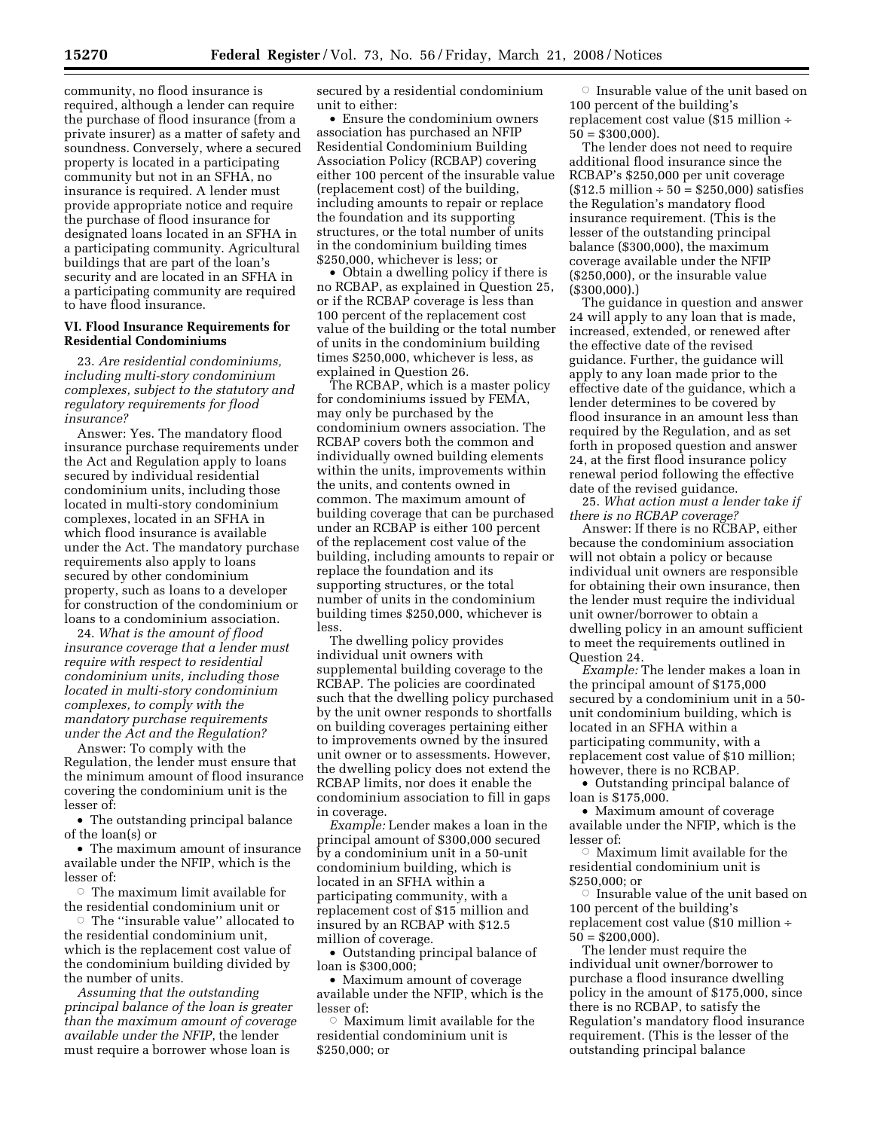community, no flood insurance is required, although a lender can require the purchase of flood insurance (from a private insurer) as a matter of safety and soundness. Conversely, where a secured property is located in a participating community but not in an SFHA, no insurance is required. A lender must provide appropriate notice and require the purchase of flood insurance for designated loans located in an SFHA in a participating community. Agricultural buildings that are part of the loan's security and are located in an SFHA in a participating community are required to have flood insurance.

#### **VI. Flood Insurance Requirements for Residential Condominiums**

23. *Are residential condominiums, including multi-story condominium complexes, subject to the statutory and regulatory requirements for flood insurance?* 

Answer: Yes. The mandatory flood insurance purchase requirements under the Act and Regulation apply to loans secured by individual residential condominium units, including those located in multi-story condominium complexes, located in an SFHA in which flood insurance is available under the Act. The mandatory purchase requirements also apply to loans secured by other condominium property, such as loans to a developer for construction of the condominium or loans to a condominium association.

24. *What is the amount of flood insurance coverage that a lender must require with respect to residential condominium units, including those located in multi-story condominium complexes, to comply with the mandatory purchase requirements under the Act and the Regulation?* 

Answer: To comply with the Regulation, the lender must ensure that the minimum amount of flood insurance covering the condominium unit is the lesser of:

• The outstanding principal balance of the loan(s) or

• The maximum amount of insurance available under the NFIP, which is the lesser of:

 $\circ$  The maximum limit available for the residential condominium unit or

 $\circ\,$  The ''insurable value'' allocated to the residential condominium unit, which is the replacement cost value of the condominium building divided by the number of units.

*Assuming that the outstanding principal balance of the loan is greater than the maximum amount of coverage available under the NFIP*, the lender must require a borrower whose loan is

secured by a residential condominium unit to either:

• Ensure the condominium owners association has purchased an NFIP Residential Condominium Building Association Policy (RCBAP) covering either 100 percent of the insurable value (replacement cost) of the building, including amounts to repair or replace the foundation and its supporting structures, or the total number of units in the condominium building times \$250,000, whichever is less; or

• Obtain a dwelling policy if there is no RCBAP, as explained in Question 25, or if the RCBAP coverage is less than 100 percent of the replacement cost value of the building or the total number of units in the condominium building times \$250,000, whichever is less, as explained in Question 26.

The RCBAP, which is a master policy for condominiums issued by FEMA, may only be purchased by the condominium owners association. The RCBAP covers both the common and individually owned building elements within the units, improvements within the units, and contents owned in common. The maximum amount of building coverage that can be purchased under an RCBAP is either 100 percent of the replacement cost value of the building, including amounts to repair or replace the foundation and its supporting structures, or the total number of units in the condominium building times \$250,000, whichever is less.

The dwelling policy provides individual unit owners with supplemental building coverage to the RCBAP. The policies are coordinated such that the dwelling policy purchased by the unit owner responds to shortfalls on building coverages pertaining either to improvements owned by the insured unit owner or to assessments. However, the dwelling policy does not extend the RCBAP limits, nor does it enable the condominium association to fill in gaps in coverage.

*Example:* Lender makes a loan in the principal amount of \$300,000 secured by a condominium unit in a 50-unit condominium building, which is located in an SFHA within a participating community, with a replacement cost of \$15 million and insured by an RCBAP with \$12.5 million of coverage.

• Outstanding principal balance of loan is \$300,000;

• Maximum amount of coverage available under the NFIP, which is the lesser of:

 $\circ$ Maximum limit available for the residential condominium unit is \$250,000; or

 $\circ$  Insurable value of the unit based on 100 percent of the building's replacement cost value (\$15 million ÷  $50 = $300,000$ .

The lender does not need to require additional flood insurance since the RCBAP's \$250,000 per unit coverage  $($12.5 \text{ million} \div 50 = $250,000) \text{ satisfies}$ the Regulation's mandatory flood insurance requirement. (This is the lesser of the outstanding principal balance (\$300,000), the maximum coverage available under the NFIP (\$250,000), or the insurable value (\$300,000).)

The guidance in question and answer 24 will apply to any loan that is made, increased, extended, or renewed after the effective date of the revised guidance. Further, the guidance will apply to any loan made prior to the effective date of the guidance, which a lender determines to be covered by flood insurance in an amount less than required by the Regulation, and as set forth in proposed question and answer 24, at the first flood insurance policy renewal period following the effective date of the revised guidance.

25. *What action must a lender take if there is no RCBAP coverage?* 

Answer: If there is no RCBAP, either because the condominium association will not obtain a policy or because individual unit owners are responsible for obtaining their own insurance, then the lender must require the individual unit owner/borrower to obtain a dwelling policy in an amount sufficient to meet the requirements outlined in Question 24.

*Example:* The lender makes a loan in the principal amount of \$175,000 secured by a condominium unit in a 50 unit condominium building, which is located in an SFHA within a participating community, with a replacement cost value of \$10 million; however, there is no RCBAP.

• Outstanding principal balance of loan is \$175,000.

• Maximum amount of coverage available under the NFIP, which is the lesser of:

 $\circ$ Maximum limit available for the residential condominium unit is \$250,000; or

 $\circ$  Insurable value of the unit based on 100 percent of the building's replacement cost value (\$10 million ÷  $50 = $200,000$ 

The lender must require the individual unit owner/borrower to purchase a flood insurance dwelling policy in the amount of \$175,000, since there is no RCBAP, to satisfy the Regulation's mandatory flood insurance requirement. (This is the lesser of the outstanding principal balance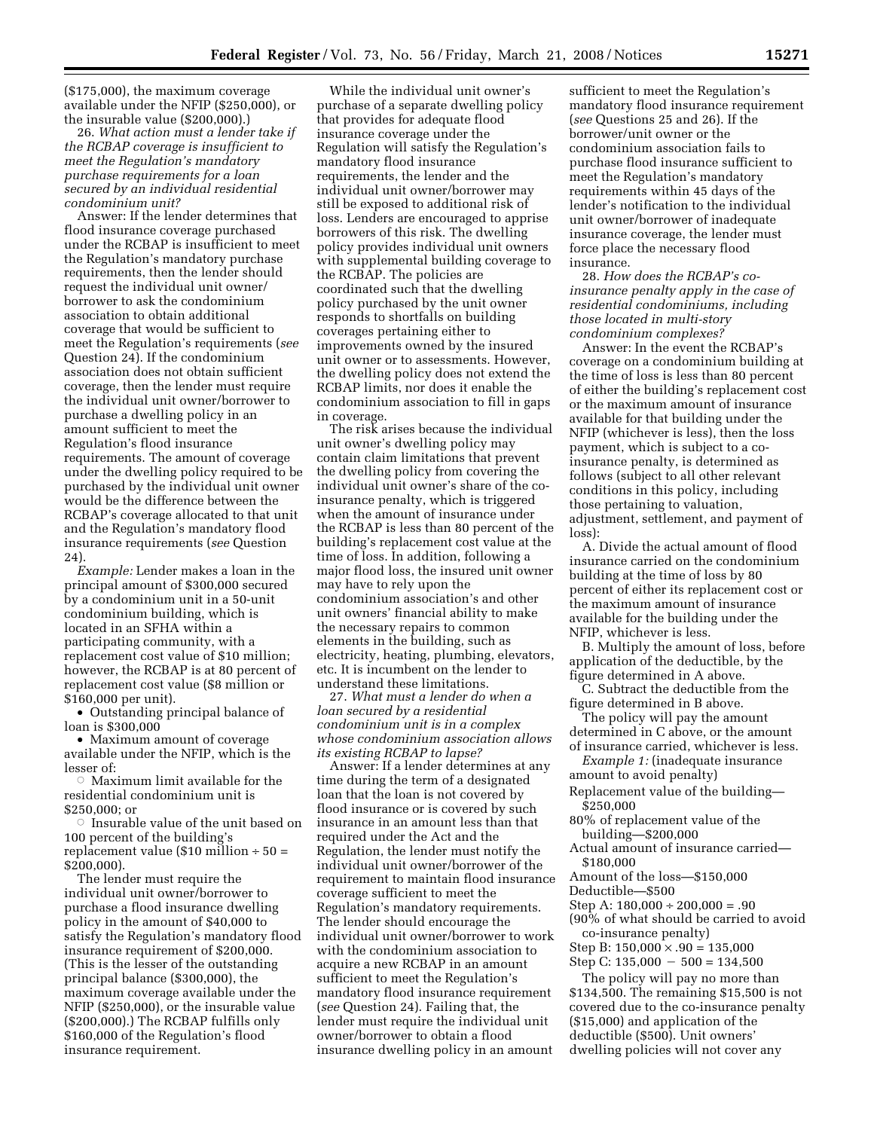(\$175,000), the maximum coverage available under the NFIP (\$250,000), or the insurable value (\$200,000).)

26. *What action must a lender take if the RCBAP coverage is insufficient to meet the Regulation's mandatory purchase requirements for a loan secured by an individual residential condominium unit?* 

Answer: If the lender determines that flood insurance coverage purchased under the RCBAP is insufficient to meet the Regulation's mandatory purchase requirements, then the lender should request the individual unit owner/ borrower to ask the condominium association to obtain additional coverage that would be sufficient to meet the Regulation's requirements (*see*  Question 24). If the condominium association does not obtain sufficient coverage, then the lender must require the individual unit owner/borrower to purchase a dwelling policy in an amount sufficient to meet the Regulation's flood insurance requirements. The amount of coverage under the dwelling policy required to be purchased by the individual unit owner would be the difference between the RCBAP's coverage allocated to that unit and the Regulation's mandatory flood insurance requirements (*see* Question 24)

*Example:* Lender makes a loan in the principal amount of \$300,000 secured by a condominium unit in a 50-unit condominium building, which is located in an SFHA within a participating community, with a replacement cost value of \$10 million; however, the RCBAP is at 80 percent of replacement cost value (\$8 million or \$160,000 per unit).

• Outstanding principal balance of loan is \$300,000

• Maximum amount of coverage available under the NFIP, which is the lesser of:

 $\circ$  Maximum limit available for the residential condominium unit is \$250,000; or

Æ Insurable value of the unit based on 100 percent of the building's replacement value (\$10 million  $\div$  50 = \$200,000).

The lender must require the individual unit owner/borrower to purchase a flood insurance dwelling policy in the amount of \$40,000 to satisfy the Regulation's mandatory flood insurance requirement of \$200,000. (This is the lesser of the outstanding principal balance (\$300,000), the maximum coverage available under the NFIP (\$250,000), or the insurable value (\$200,000).) The RCBAP fulfills only \$160,000 of the Regulation's flood insurance requirement.

While the individual unit owner's purchase of a separate dwelling policy that provides for adequate flood insurance coverage under the Regulation will satisfy the Regulation's mandatory flood insurance requirements, the lender and the individual unit owner/borrower may still be exposed to additional risk of loss. Lenders are encouraged to apprise borrowers of this risk. The dwelling policy provides individual unit owners with supplemental building coverage to the RCBAP. The policies are coordinated such that the dwelling policy purchased by the unit owner responds to shortfalls on building coverages pertaining either to improvements owned by the insured unit owner or to assessments. However, the dwelling policy does not extend the RCBAP limits, nor does it enable the condominium association to fill in gaps in coverage.

The risk arises because the individual unit owner's dwelling policy may contain claim limitations that prevent the dwelling policy from covering the individual unit owner's share of the coinsurance penalty, which is triggered when the amount of insurance under the RCBAP is less than 80 percent of the building's replacement cost value at the time of loss. In addition, following a major flood loss, the insured unit owner may have to rely upon the condominium association's and other unit owners' financial ability to make the necessary repairs to common elements in the building, such as electricity, heating, plumbing, elevators, etc. It is incumbent on the lender to understand these limitations.

27. *What must a lender do when a loan secured by a residential condominium unit is in a complex whose condominium association allows its existing RCBAP to lapse?* 

Answer: If a lender determines at any time during the term of a designated loan that the loan is not covered by flood insurance or is covered by such insurance in an amount less than that required under the Act and the Regulation, the lender must notify the individual unit owner/borrower of the requirement to maintain flood insurance coverage sufficient to meet the Regulation's mandatory requirements. The lender should encourage the individual unit owner/borrower to work with the condominium association to acquire a new RCBAP in an amount sufficient to meet the Regulation's mandatory flood insurance requirement (*see* Question 24). Failing that, the lender must require the individual unit owner/borrower to obtain a flood insurance dwelling policy in an amount

sufficient to meet the Regulation's mandatory flood insurance requirement (*see* Questions 25 and 26). If the borrower/unit owner or the condominium association fails to purchase flood insurance sufficient to meet the Regulation's mandatory requirements within 45 days of the lender's notification to the individual unit owner/borrower of inadequate insurance coverage, the lender must force place the necessary flood insurance.

28. *How does the RCBAP's coinsurance penalty apply in the case of residential condominiums, including those located in multi-story condominium complexes?* 

Answer: In the event the RCBAP's coverage on a condominium building at the time of loss is less than 80 percent of either the building's replacement cost or the maximum amount of insurance available for that building under the NFIP (whichever is less), then the loss payment, which is subject to a coinsurance penalty, is determined as follows (subject to all other relevant conditions in this policy, including those pertaining to valuation, adjustment, settlement, and payment of loss):

A. Divide the actual amount of flood insurance carried on the condominium building at the time of loss by 80 percent of either its replacement cost or the maximum amount of insurance available for the building under the NFIP, whichever is less.

B. Multiply the amount of loss, before application of the deductible, by the figure determined in A above.

C. Subtract the deductible from the figure determined in B above.

The policy will pay the amount determined in C above, or the amount of insurance carried, whichever is less.

*Example 1:* (inadequate insurance amount to avoid penalty)

Replacement value of the building— \$250,000

80% of replacement value of the building—\$200,000

Actual amount of insurance carried— \$180,000

Amount of the loss—\$150,000

Deductible—\$500

Step A:  $180,000 \div 200,000 = .90$ 

(90% of what should be carried to avoid co-insurance penalty)

Step B:  $150,000 \times .90 = 135,000$ 

Step C:  $135,000 - 500 = 134,500$ The policy will pay no more than

\$134,500. The remaining \$15,500 is not covered due to the co-insurance penalty (\$15,000) and application of the deductible (\$500). Unit owners' dwelling policies will not cover any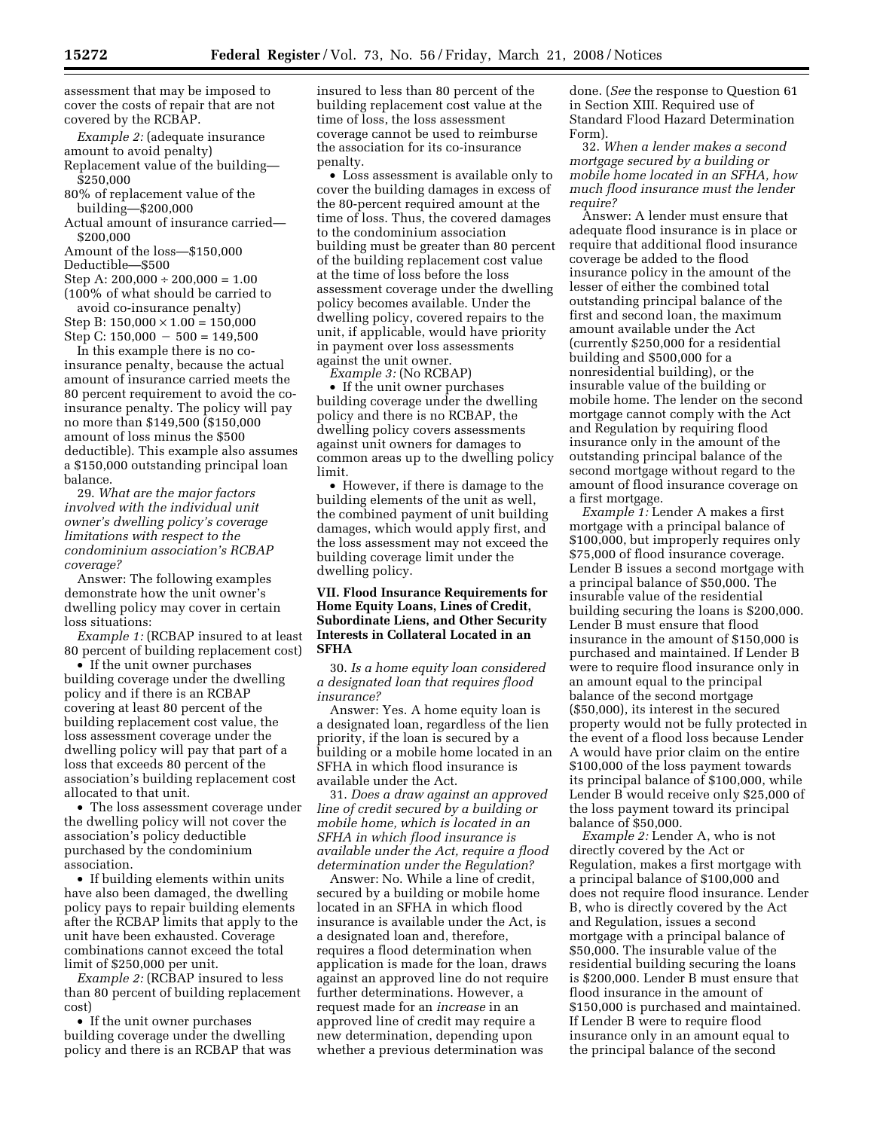*Example 2:* (adequate insurance amount to avoid penalty)

Replacement value of the building— \$250,000

80% of replacement value of the building—\$200,000

Actual amount of insurance carried— \$200,000

Amount of the loss—\$150,000

Deductible—\$500

Step A:  $200,000 \div 200,000 = 1.00$ 

(100% of what should be carried to avoid co-insurance penalty)

Step B:  $150,000 \times 1.00 = 150,000$ Step C:  $150,000 - 500 = 149,500$ 

In this example there is no coinsurance penalty, because the actual amount of insurance carried meets the 80 percent requirement to avoid the coinsurance penalty. The policy will pay no more than \$149,500 (\$150,000 amount of loss minus the \$500 deductible). This example also assumes a \$150,000 outstanding principal loan balance.

29. *What are the major factors involved with the individual unit owner's dwelling policy's coverage limitations with respect to the condominium association's RCBAP coverage?* 

Answer: The following examples demonstrate how the unit owner's dwelling policy may cover in certain loss situations:

*Example 1:* (RCBAP insured to at least 80 percent of building replacement cost)

• If the unit owner purchases building coverage under the dwelling policy and if there is an RCBAP covering at least 80 percent of the building replacement cost value, the loss assessment coverage under the dwelling policy will pay that part of a loss that exceeds 80 percent of the association's building replacement cost allocated to that unit.

• The loss assessment coverage under the dwelling policy will not cover the association's policy deductible purchased by the condominium association.

• If building elements within units have also been damaged, the dwelling policy pays to repair building elements after the RCBAP limits that apply to the unit have been exhausted. Coverage combinations cannot exceed the total limit of \$250,000 per unit.

*Example 2:* (RCBAP insured to less than 80 percent of building replacement cost)

• If the unit owner purchases building coverage under the dwelling policy and there is an RCBAP that was insured to less than 80 percent of the building replacement cost value at the time of loss, the loss assessment coverage cannot be used to reimburse the association for its co-insurance penalty.

• Loss assessment is available only to cover the building damages in excess of the 80-percent required amount at the time of loss. Thus, the covered damages to the condominium association building must be greater than 80 percent of the building replacement cost value at the time of loss before the loss assessment coverage under the dwelling policy becomes available. Under the dwelling policy, covered repairs to the unit, if applicable, would have priority in payment over loss assessments against the unit owner.

*Example 3:* (No RCBAP)

• If the unit owner purchases building coverage under the dwelling policy and there is no RCBAP, the dwelling policy covers assessments against unit owners for damages to common areas up to the dwelling policy limit.

• However, if there is damage to the building elements of the unit as well, the combined payment of unit building damages, which would apply first, and the loss assessment may not exceed the building coverage limit under the dwelling policy.

### **VII. Flood Insurance Requirements for Home Equity Loans, Lines of Credit, Subordinate Liens, and Other Security Interests in Collateral Located in an SFHA**

30. *Is a home equity loan considered a designated loan that requires flood insurance?* 

Answer: Yes. A home equity loan is a designated loan, regardless of the lien priority, if the loan is secured by a building or a mobile home located in an SFHA in which flood insurance is available under the Act.

31. *Does a draw against an approved line of credit secured by a building or mobile home, which is located in an SFHA in which flood insurance is available under the Act, require a flood determination under the Regulation?* 

Answer: No. While a line of credit, secured by a building or mobile home located in an SFHA in which flood insurance is available under the Act, is a designated loan and, therefore, requires a flood determination when application is made for the loan, draws against an approved line do not require further determinations. However, a request made for an *increase* in an approved line of credit may require a new determination, depending upon whether a previous determination was

done. (*See* the response to Question 61 in Section XIII. Required use of Standard Flood Hazard Determination Form).

32. *When a lender makes a second mortgage secured by a building or mobile home located in an SFHA, how much flood insurance must the lender require?* 

Answer: A lender must ensure that adequate flood insurance is in place or require that additional flood insurance coverage be added to the flood insurance policy in the amount of the lesser of either the combined total outstanding principal balance of the first and second loan, the maximum amount available under the Act (currently \$250,000 for a residential building and \$500,000 for a nonresidential building), or the insurable value of the building or mobile home. The lender on the second mortgage cannot comply with the Act and Regulation by requiring flood insurance only in the amount of the outstanding principal balance of the second mortgage without regard to the amount of flood insurance coverage on a first mortgage.

*Example 1:* Lender A makes a first mortgage with a principal balance of \$100,000, but improperly requires only \$75,000 of flood insurance coverage. Lender B issues a second mortgage with a principal balance of \$50,000. The insurable value of the residential building securing the loans is \$200,000. Lender B must ensure that flood insurance in the amount of \$150,000 is purchased and maintained. If Lender B were to require flood insurance only in an amount equal to the principal balance of the second mortgage (\$50,000), its interest in the secured property would not be fully protected in the event of a flood loss because Lender A would have prior claim on the entire \$100,000 of the loss payment towards its principal balance of \$100,000, while Lender B would receive only \$25,000 of the loss payment toward its principal balance of \$50,000.

*Example 2:* Lender A, who is not directly covered by the Act or Regulation, makes a first mortgage with a principal balance of \$100,000 and does not require flood insurance. Lender B, who is directly covered by the Act and Regulation, issues a second mortgage with a principal balance of \$50,000. The insurable value of the residential building securing the loans is \$200,000. Lender B must ensure that flood insurance in the amount of \$150,000 is purchased and maintained. If Lender B were to require flood insurance only in an amount equal to the principal balance of the second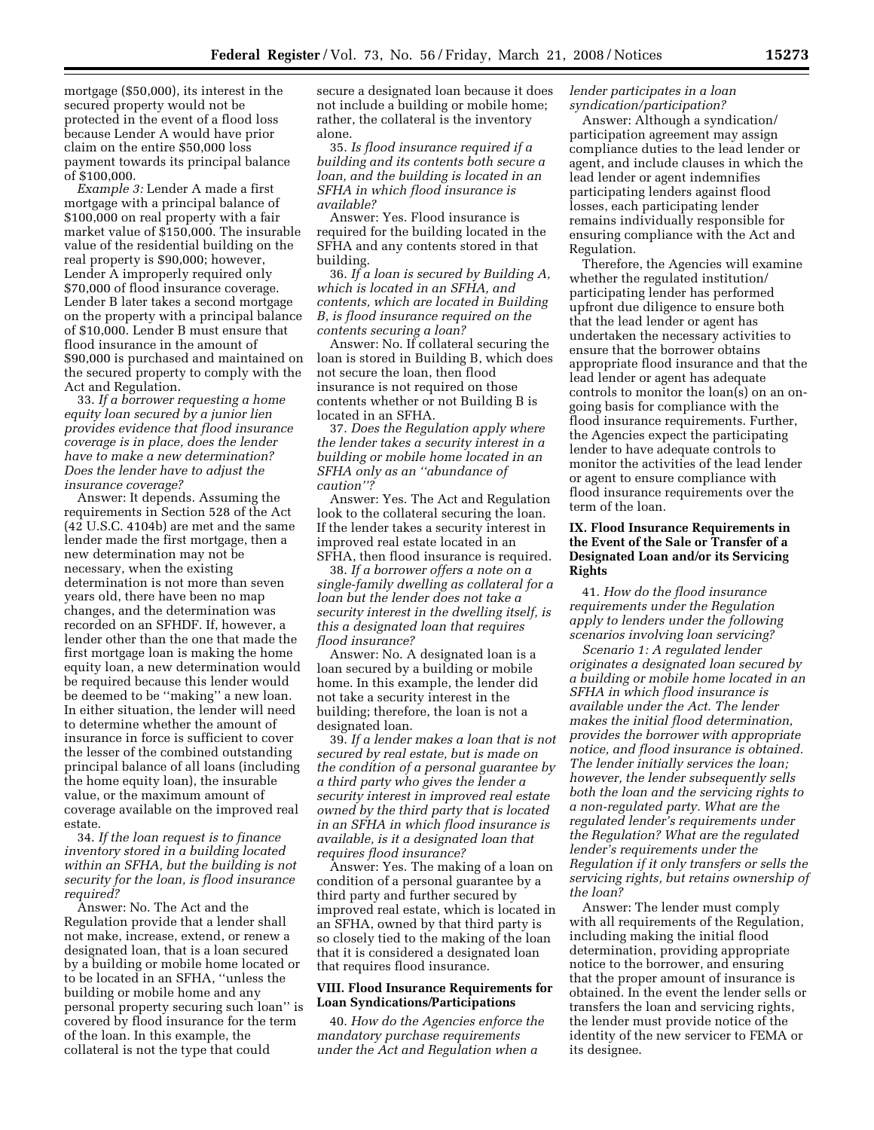mortgage (\$50,000), its interest in the secured property would not be protected in the event of a flood loss because Lender A would have prior claim on the entire \$50,000 loss payment towards its principal balance of \$100,000.

*Example 3:* Lender A made a first mortgage with a principal balance of \$100,000 on real property with a fair market value of \$150,000. The insurable value of the residential building on the real property is \$90,000; however, Lender A improperly required only \$70,000 of flood insurance coverage. Lender B later takes a second mortgage on the property with a principal balance of \$10,000. Lender B must ensure that flood insurance in the amount of \$90,000 is purchased and maintained on the secured property to comply with the Act and Regulation.

33. *If a borrower requesting a home equity loan secured by a junior lien provides evidence that flood insurance coverage is in place, does the lender have to make a new determination? Does the lender have to adjust the insurance coverage?* 

Answer: It depends. Assuming the requirements in Section 528 of the Act (42 U.S.C. 4104b) are met and the same lender made the first mortgage, then a new determination may not be necessary, when the existing determination is not more than seven years old, there have been no map changes, and the determination was recorded on an SFHDF. If, however, a lender other than the one that made the first mortgage loan is making the home equity loan, a new determination would be required because this lender would be deemed to be ''making'' a new loan. In either situation, the lender will need to determine whether the amount of insurance in force is sufficient to cover the lesser of the combined outstanding principal balance of all loans (including the home equity loan), the insurable value, or the maximum amount of coverage available on the improved real estate.

34. *If the loan request is to finance inventory stored in a building located within an SFHA, but the building is not security for the loan, is flood insurance required?* 

Answer: No. The Act and the Regulation provide that a lender shall not make, increase, extend, or renew a designated loan, that is a loan secured by a building or mobile home located or to be located in an SFHA, ''unless the building or mobile home and any personal property securing such loan'' is covered by flood insurance for the term of the loan. In this example, the collateral is not the type that could

secure a designated loan because it does not include a building or mobile home; rather, the collateral is the inventory alone.

35. *Is flood insurance required if a building and its contents both secure a loan, and the building is located in an SFHA in which flood insurance is available?* 

Answer: Yes. Flood insurance is required for the building located in the SFHA and any contents stored in that building.

36. *If a loan is secured by Building A, which is located in an SFHA, and contents, which are located in Building B, is flood insurance required on the contents securing a loan?* 

Answer: No. If collateral securing the loan is stored in Building B, which does not secure the loan, then flood insurance is not required on those contents whether or not Building B is located in an SFHA.

37. *Does the Regulation apply where the lender takes a security interest in a building or mobile home located in an SFHA only as an ''abundance of caution''?* 

Answer: Yes. The Act and Regulation look to the collateral securing the loan. If the lender takes a security interest in improved real estate located in an SFHA, then flood insurance is required.

38. *If a borrower offers a note on a single-family dwelling as collateral for a loan but the lender does not take a security interest in the dwelling itself, is this a designated loan that requires flood insurance?* 

Answer: No. A designated loan is a loan secured by a building or mobile home. In this example, the lender did not take a security interest in the building; therefore, the loan is not a designated loan.

39. *If a lender makes a loan that is not secured by real estate, but is made on the condition of a personal guarantee by a third party who gives the lender a security interest in improved real estate owned by the third party that is located in an SFHA in which flood insurance is available, is it a designated loan that requires flood insurance?* 

Answer: Yes. The making of a loan on condition of a personal guarantee by a third party and further secured by improved real estate, which is located in an SFHA, owned by that third party is so closely tied to the making of the loan that it is considered a designated loan that requires flood insurance.

### **VIII. Flood Insurance Requirements for Loan Syndications/Participations**

40. *How do the Agencies enforce the mandatory purchase requirements under the Act and Regulation when a* 

### *lender participates in a loan syndication/participation?*

Answer: Although a syndication/ participation agreement may assign compliance duties to the lead lender or agent, and include clauses in which the lead lender or agent indemnifies participating lenders against flood losses, each participating lender remains individually responsible for ensuring compliance with the Act and Regulation.

Therefore, the Agencies will examine whether the regulated institution/ participating lender has performed upfront due diligence to ensure both that the lead lender or agent has undertaken the necessary activities to ensure that the borrower obtains appropriate flood insurance and that the lead lender or agent has adequate controls to monitor the loan(s) on an ongoing basis for compliance with the flood insurance requirements. Further, the Agencies expect the participating lender to have adequate controls to monitor the activities of the lead lender or agent to ensure compliance with flood insurance requirements over the term of the loan.

### **IX. Flood Insurance Requirements in the Event of the Sale or Transfer of a Designated Loan and/or its Servicing Rights**

41. *How do the flood insurance requirements under the Regulation apply to lenders under the following scenarios involving loan servicing?* 

*Scenario 1: A regulated lender originates a designated loan secured by a building or mobile home located in an SFHA in which flood insurance is available under the Act. The lender makes the initial flood determination, provides the borrower with appropriate notice, and flood insurance is obtained. The lender initially services the loan; however, the lender subsequently sells both the loan and the servicing rights to a non-regulated party. What are the regulated lender's requirements under the Regulation? What are the regulated lender's requirements under the Regulation if it only transfers or sells the servicing rights, but retains ownership of the loan?* 

Answer: The lender must comply with all requirements of the Regulation, including making the initial flood determination, providing appropriate notice to the borrower, and ensuring that the proper amount of insurance is obtained. In the event the lender sells or transfers the loan and servicing rights, the lender must provide notice of the identity of the new servicer to FEMA or its designee.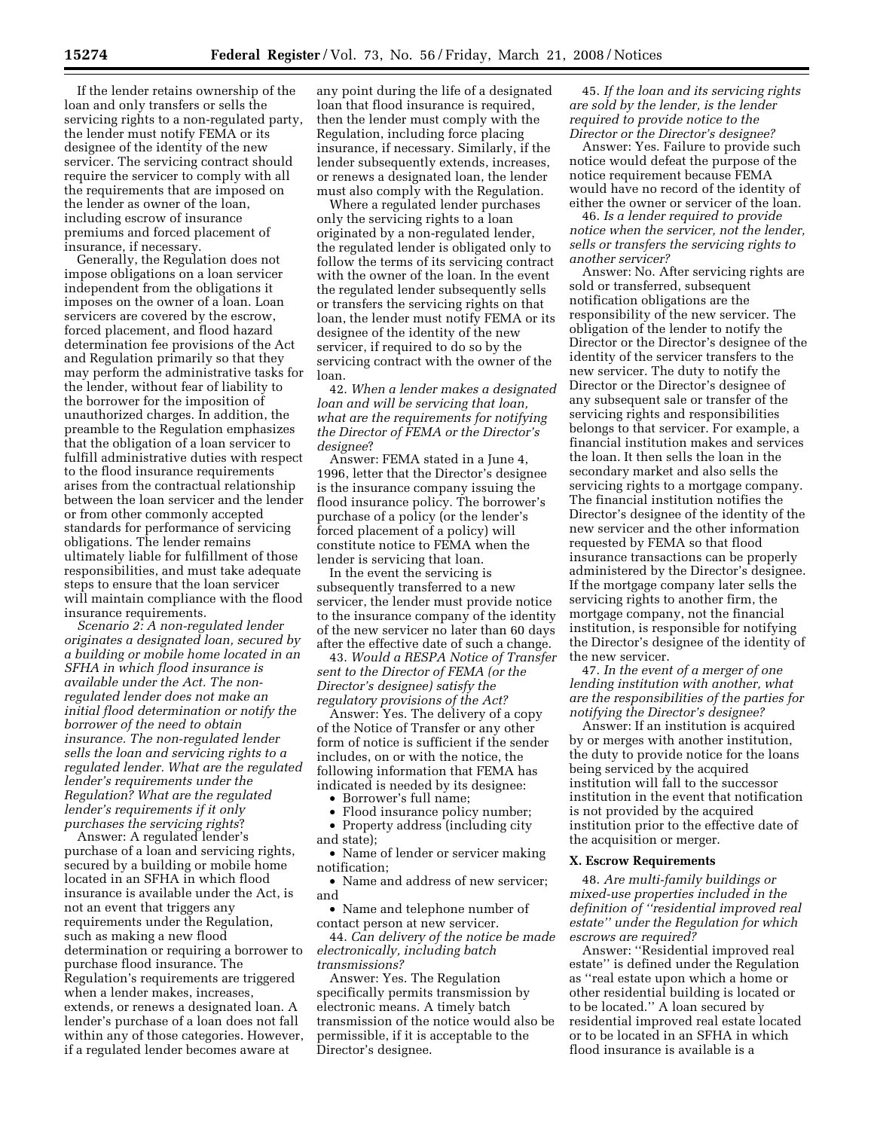If the lender retains ownership of the loan and only transfers or sells the servicing rights to a non-regulated party, the lender must notify FEMA or its designee of the identity of the new servicer. The servicing contract should require the servicer to comply with all the requirements that are imposed on the lender as owner of the loan, including escrow of insurance premiums and forced placement of insurance, if necessary.

Generally, the Regulation does not impose obligations on a loan servicer independent from the obligations it imposes on the owner of a loan. Loan servicers are covered by the escrow, forced placement, and flood hazard determination fee provisions of the Act and Regulation primarily so that they may perform the administrative tasks for the lender, without fear of liability to the borrower for the imposition of unauthorized charges. In addition, the preamble to the Regulation emphasizes that the obligation of a loan servicer to fulfill administrative duties with respect to the flood insurance requirements arises from the contractual relationship between the loan servicer and the lender or from other commonly accepted standards for performance of servicing obligations. The lender remains ultimately liable for fulfillment of those responsibilities, and must take adequate steps to ensure that the loan servicer will maintain compliance with the flood insurance requirements.

*Scenario 2: A non-regulated lender originates a designated loan, secured by a building or mobile home located in an SFHA in which flood insurance is available under the Act. The nonregulated lender does not make an initial flood determination or notify the borrower of the need to obtain insurance. The non-regulated lender sells the loan and servicing rights to a regulated lender. What are the regulated lender's requirements under the Regulation? What are the regulated lender's requirements if it only purchases the servicing rights*?

Answer: A regulated lender's purchase of a loan and servicing rights, secured by a building or mobile home located in an SFHA in which flood insurance is available under the Act, is not an event that triggers any requirements under the Regulation, such as making a new flood determination or requiring a borrower to purchase flood insurance. The Regulation's requirements are triggered when a lender makes, increases, extends, or renews a designated loan. A lender's purchase of a loan does not fall within any of those categories. However, if a regulated lender becomes aware at

any point during the life of a designated loan that flood insurance is required, then the lender must comply with the Regulation, including force placing insurance, if necessary. Similarly, if the lender subsequently extends, increases, or renews a designated loan, the lender must also comply with the Regulation.

Where a regulated lender purchases only the servicing rights to a loan originated by a non-regulated lender, the regulated lender is obligated only to follow the terms of its servicing contract with the owner of the loan. In the event the regulated lender subsequently sells or transfers the servicing rights on that loan, the lender must notify FEMA or its designee of the identity of the new servicer, if required to do so by the servicing contract with the owner of the loan.

42. *When a lender makes a designated loan and will be servicing that loan, what are the requirements for notifying the Director of FEMA or the Director's designee*?

Answer: FEMA stated in a June 4, 1996, letter that the Director's designee is the insurance company issuing the flood insurance policy. The borrower's purchase of a policy (or the lender's forced placement of a policy) will constitute notice to FEMA when the lender is servicing that loan.

In the event the servicing is subsequently transferred to a new servicer, the lender must provide notice to the insurance company of the identity of the new servicer no later than 60 days after the effective date of such a change.

43. *Would a RESPA Notice of Transfer sent to the Director of FEMA (or the Director's designee) satisfy the regulatory provisions of the Act?* 

Answer: Yes. The delivery of a copy of the Notice of Transfer or any other form of notice is sufficient if the sender includes, on or with the notice, the following information that FEMA has indicated is needed by its designee:

- Borrower's full name;
- Flood insurance policy number; • Property address (including city
- and state);

• Name of lender or servicer making notification;

• Name and address of new servicer; and

• Name and telephone number of contact person at new servicer.

44. *Can delivery of the notice be made electronically, including batch transmissions?* 

Answer: Yes. The Regulation specifically permits transmission by electronic means. A timely batch transmission of the notice would also be permissible, if it is acceptable to the Director's designee.

45. *If the loan and its servicing rights are sold by the lender, is the lender required to provide notice to the Director or the Director's designee?* 

Answer: Yes. Failure to provide such notice would defeat the purpose of the notice requirement because FEMA would have no record of the identity of either the owner or servicer of the loan.

46. *Is a lender required to provide notice when the servicer, not the lender, sells or transfers the servicing rights to another servicer?* 

Answer: No. After servicing rights are sold or transferred, subsequent notification obligations are the responsibility of the new servicer. The obligation of the lender to notify the Director or the Director's designee of the identity of the servicer transfers to the new servicer. The duty to notify the Director or the Director's designee of any subsequent sale or transfer of the servicing rights and responsibilities belongs to that servicer. For example, a financial institution makes and services the loan. It then sells the loan in the secondary market and also sells the servicing rights to a mortgage company. The financial institution notifies the Director's designee of the identity of the new servicer and the other information requested by FEMA so that flood insurance transactions can be properly administered by the Director's designee. If the mortgage company later sells the servicing rights to another firm, the mortgage company, not the financial institution, is responsible for notifying the Director's designee of the identity of the new servicer.

47. *In the event of a merger of one lending institution with another, what are the responsibilities of the parties for notifying the Director's designee?* 

Answer: If an institution is acquired by or merges with another institution, the duty to provide notice for the loans being serviced by the acquired institution will fall to the successor institution in the event that notification is not provided by the acquired institution prior to the effective date of the acquisition or merger.

#### **X. Escrow Requirements**

48. *Are multi-family buildings or mixed-use properties included in the definition of ''residential improved real estate'' under the Regulation for which escrows are required?* 

Answer: ''Residential improved real estate'' is defined under the Regulation as ''real estate upon which a home or other residential building is located or to be located.'' A loan secured by residential improved real estate located or to be located in an SFHA in which flood insurance is available is a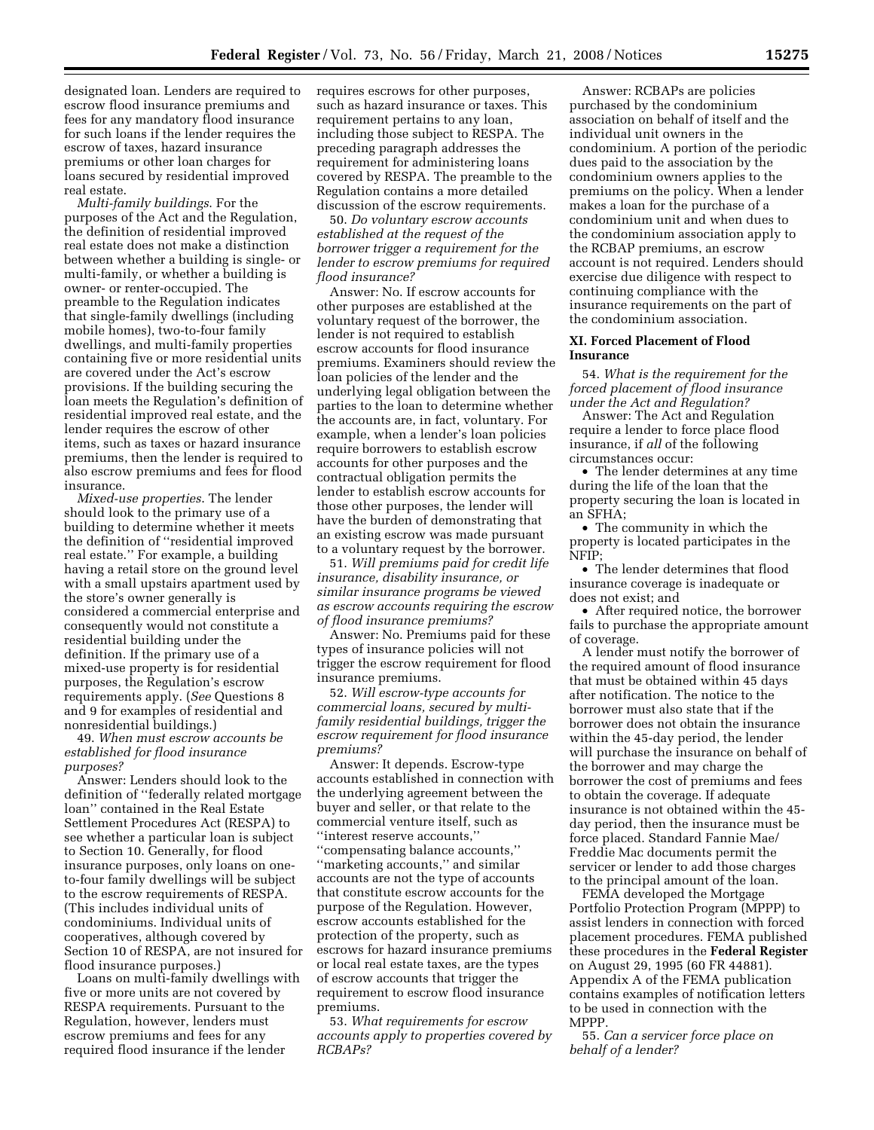designated loan. Lenders are required to escrow flood insurance premiums and fees for any mandatory flood insurance for such loans if the lender requires the escrow of taxes, hazard insurance premiums or other loan charges for loans secured by residential improved real estate.

*Multi-family buildings*. For the purposes of the Act and the Regulation, the definition of residential improved real estate does not make a distinction between whether a building is single- or multi-family, or whether a building is owner- or renter-occupied. The preamble to the Regulation indicates that single-family dwellings (including mobile homes), two-to-four family dwellings, and multi-family properties containing five or more residential units are covered under the Act's escrow provisions. If the building securing the loan meets the Regulation's definition of residential improved real estate, and the lender requires the escrow of other items, such as taxes or hazard insurance premiums, then the lender is required to also escrow premiums and fees for flood insurance.

*Mixed-use properties*. The lender should look to the primary use of a building to determine whether it meets the definition of ''residential improved real estate.'' For example, a building having a retail store on the ground level with a small upstairs apartment used by the store's owner generally is considered a commercial enterprise and consequently would not constitute a residential building under the definition. If the primary use of a mixed-use property is for residential purposes, the Regulation's escrow requirements apply. (*See* Questions 8 and 9 for examples of residential and nonresidential buildings.)

49. *When must escrow accounts be established for flood insurance purposes?* 

Answer: Lenders should look to the definition of ''federally related mortgage loan'' contained in the Real Estate Settlement Procedures Act (RESPA) to see whether a particular loan is subject to Section 10. Generally, for flood insurance purposes, only loans on oneto-four family dwellings will be subject to the escrow requirements of RESPA. (This includes individual units of condominiums. Individual units of cooperatives, although covered by Section 10 of RESPA, are not insured for flood insurance purposes.)

Loans on multi-family dwellings with five or more units are not covered by RESPA requirements. Pursuant to the Regulation, however, lenders must escrow premiums and fees for any required flood insurance if the lender

requires escrows for other purposes, such as hazard insurance or taxes. This requirement pertains to any loan, including those subject to RESPA. The preceding paragraph addresses the requirement for administering loans covered by RESPA. The preamble to the Regulation contains a more detailed discussion of the escrow requirements.

50. *Do voluntary escrow accounts established at the request of the borrower trigger a requirement for the lender to escrow premiums for required flood insurance?* 

Answer: No. If escrow accounts for other purposes are established at the voluntary request of the borrower, the lender is not required to establish escrow accounts for flood insurance premiums. Examiners should review the loan policies of the lender and the underlying legal obligation between the parties to the loan to determine whether the accounts are, in fact, voluntary. For example, when a lender's loan policies require borrowers to establish escrow accounts for other purposes and the contractual obligation permits the lender to establish escrow accounts for those other purposes, the lender will have the burden of demonstrating that an existing escrow was made pursuant to a voluntary request by the borrower.

51. *Will premiums paid for credit life insurance, disability insurance, or similar insurance programs be viewed as escrow accounts requiring the escrow of flood insurance premiums?* 

Answer: No. Premiums paid for these types of insurance policies will not trigger the escrow requirement for flood insurance premiums.

52. *Will escrow-type accounts for commercial loans, secured by multifamily residential buildings, trigger the escrow requirement for flood insurance premiums?* 

Answer: It depends. Escrow-type accounts established in connection with the underlying agreement between the buyer and seller, or that relate to the commercial venture itself, such as ''interest reserve accounts,'' ''compensating balance accounts,'' ''marketing accounts,'' and similar accounts are not the type of accounts that constitute escrow accounts for the purpose of the Regulation. However, escrow accounts established for the protection of the property, such as escrows for hazard insurance premiums or local real estate taxes, are the types of escrow accounts that trigger the requirement to escrow flood insurance premiums.

53. *What requirements for escrow accounts apply to properties covered by RCBAPs?* 

Answer: RCBAPs are policies purchased by the condominium association on behalf of itself and the individual unit owners in the condominium. A portion of the periodic dues paid to the association by the condominium owners applies to the premiums on the policy. When a lender makes a loan for the purchase of a condominium unit and when dues to the condominium association apply to the RCBAP premiums, an escrow account is not required. Lenders should exercise due diligence with respect to continuing compliance with the insurance requirements on the part of the condominium association.

#### **XI. Forced Placement of Flood Insurance**

54. *What is the requirement for the forced placement of flood insurance under the Act and Regulation?* 

Answer: The Act and Regulation require a lender to force place flood insurance, if *all* of the following circumstances occur:

• The lender determines at any time during the life of the loan that the property securing the loan is located in an SFHA;

• The community in which the property is located participates in the NFIP;

• The lender determines that flood insurance coverage is inadequate or does not exist; and

• After required notice, the borrower fails to purchase the appropriate amount of coverage.

A lender must notify the borrower of the required amount of flood insurance that must be obtained within 45 days after notification. The notice to the borrower must also state that if the borrower does not obtain the insurance within the 45-day period, the lender will purchase the insurance on behalf of the borrower and may charge the borrower the cost of premiums and fees to obtain the coverage. If adequate insurance is not obtained within the 45 day period, then the insurance must be force placed. Standard Fannie Mae/ Freddie Mac documents permit the servicer or lender to add those charges to the principal amount of the loan.

FEMA developed the Mortgage Portfolio Protection Program (MPPP) to assist lenders in connection with forced placement procedures. FEMA published these procedures in the **Federal Register**  on August 29, 1995 (60 FR 44881). Appendix A of the FEMA publication contains examples of notification letters to be used in connection with the MPPP.

55. *Can a servicer force place on behalf of a lender?*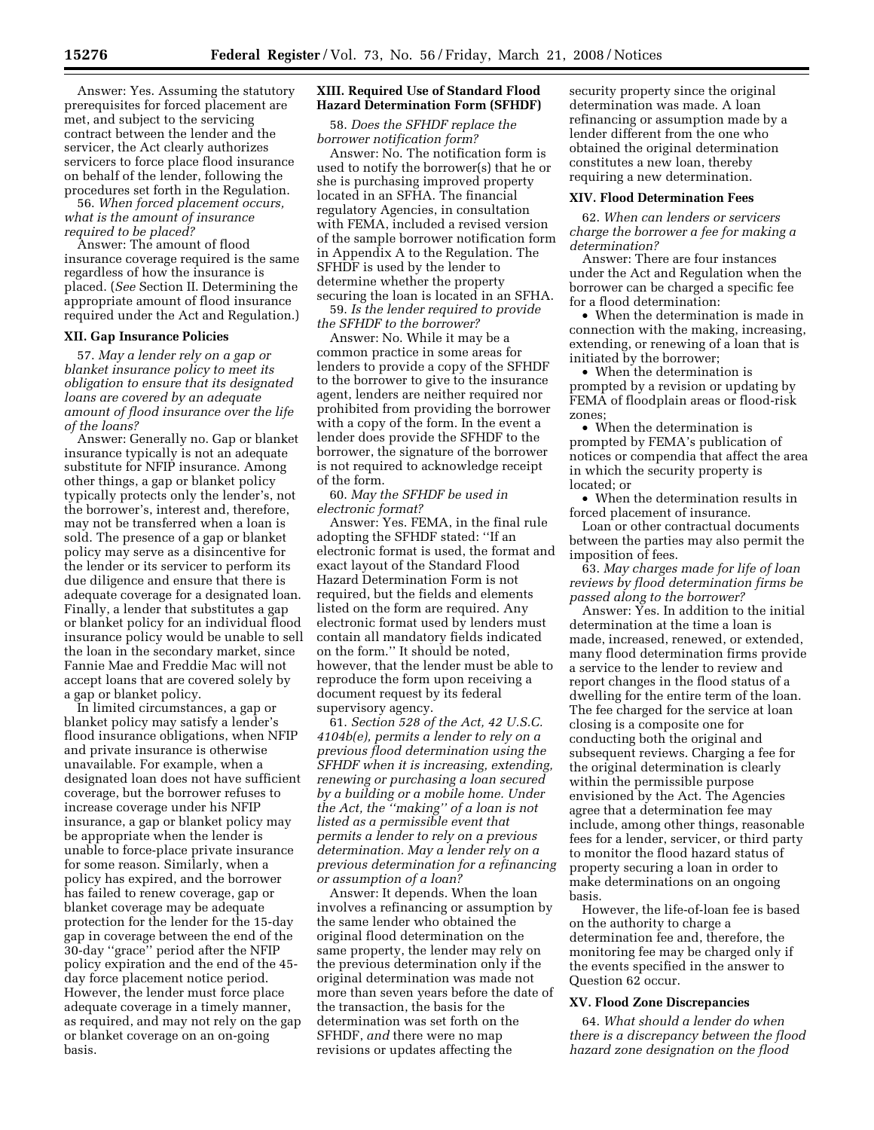Answer: Yes. Assuming the statutory prerequisites for forced placement are met, and subject to the servicing contract between the lender and the servicer, the Act clearly authorizes servicers to force place flood insurance on behalf of the lender, following the procedures set forth in the Regulation.

56. *When forced placement occurs, what is the amount of insurance required to be placed?* 

Answer: The amount of flood insurance coverage required is the same regardless of how the insurance is placed. (*See* Section II. Determining the appropriate amount of flood insurance required under the Act and Regulation.)

## **XII. Gap Insurance Policies**

57. *May a lender rely on a gap or blanket insurance policy to meet its obligation to ensure that its designated loans are covered by an adequate amount of flood insurance over the life of the loans?* 

Answer: Generally no. Gap or blanket insurance typically is not an adequate substitute for NFIP insurance. Among other things, a gap or blanket policy typically protects only the lender's, not the borrower's, interest and, therefore, may not be transferred when a loan is sold. The presence of a gap or blanket policy may serve as a disincentive for the lender or its servicer to perform its due diligence and ensure that there is adequate coverage for a designated loan. Finally, a lender that substitutes a gap or blanket policy for an individual flood insurance policy would be unable to sell the loan in the secondary market, since Fannie Mae and Freddie Mac will not accept loans that are covered solely by a gap or blanket policy.

In limited circumstances, a gap or blanket policy may satisfy a lender's flood insurance obligations, when NFIP and private insurance is otherwise unavailable. For example, when a designated loan does not have sufficient coverage, but the borrower refuses to increase coverage under his NFIP insurance, a gap or blanket policy may be appropriate when the lender is unable to force-place private insurance for some reason. Similarly, when a policy has expired, and the borrower has failed to renew coverage, gap or blanket coverage may be adequate protection for the lender for the 15-day gap in coverage between the end of the 30-day ''grace'' period after the NFIP policy expiration and the end of the 45 day force placement notice period. However, the lender must force place adequate coverage in a timely manner, as required, and may not rely on the gap or blanket coverage on an on-going basis.

#### **XIII. Required Use of Standard Flood Hazard Determination Form (SFHDF)**

58. *Does the SFHDF replace the borrower notification form?* 

Answer: No. The notification form is used to notify the borrower(s) that he or she is purchasing improved property located in an SFHA. The financial regulatory Agencies, in consultation with FEMA, included a revised version of the sample borrower notification form in Appendix A to the Regulation. The SFHDF is used by the lender to determine whether the property securing the loan is located in an SFHA.

59. *Is the lender required to provide the SFHDF to the borrower?* 

Answer: No. While it may be a common practice in some areas for lenders to provide a copy of the SFHDF to the borrower to give to the insurance agent, lenders are neither required nor prohibited from providing the borrower with a copy of the form. In the event a lender does provide the SFHDF to the borrower, the signature of the borrower is not required to acknowledge receipt of the form.

60. *May the SFHDF be used in electronic format?* 

Answer: Yes. FEMA, in the final rule adopting the SFHDF stated: ''If an electronic format is used, the format and exact layout of the Standard Flood Hazard Determination Form is not required, but the fields and elements listed on the form are required. Any electronic format used by lenders must contain all mandatory fields indicated on the form.'' It should be noted, however, that the lender must be able to reproduce the form upon receiving a document request by its federal supervisory agency.

61. *Section 528 of the Act, 42 U.S.C. 4104b(e), permits a lender to rely on a previous flood determination using the SFHDF when it is increasing, extending, renewing or purchasing a loan secured by a building or a mobile home. Under the Act, the ''making'' of a loan is not listed as a permissible event that permits a lender to rely on a previous determination. May a lender rely on a previous determination for a refinancing or assumption of a loan?* 

Answer: It depends. When the loan involves a refinancing or assumption by the same lender who obtained the original flood determination on the same property, the lender may rely on the previous determination only if the original determination was made not more than seven years before the date of the transaction, the basis for the determination was set forth on the SFHDF, *and* there were no map revisions or updates affecting the

security property since the original determination was made. A loan refinancing or assumption made by a lender different from the one who obtained the original determination constitutes a new loan, thereby requiring a new determination.

#### **XIV. Flood Determination Fees**

62. *When can lenders or servicers charge the borrower a fee for making a determination?* 

Answer: There are four instances under the Act and Regulation when the borrower can be charged a specific fee for a flood determination:

• When the determination is made in connection with the making, increasing, extending, or renewing of a loan that is initiated by the borrower;

• When the determination is prompted by a revision or updating by FEMA of floodplain areas or flood-risk zones;

• When the determination is prompted by FEMA's publication of notices or compendia that affect the area in which the security property is located; or

• When the determination results in forced placement of insurance.

Loan or other contractual documents between the parties may also permit the imposition of fees.

63. *May charges made for life of loan reviews by flood determination firms be passed along to the borrower?* 

Answer: Yes. In addition to the initial determination at the time a loan is made, increased, renewed, or extended, many flood determination firms provide a service to the lender to review and report changes in the flood status of a dwelling for the entire term of the loan. The fee charged for the service at loan closing is a composite one for conducting both the original and subsequent reviews. Charging a fee for the original determination is clearly within the permissible purpose envisioned by the Act. The Agencies agree that a determination fee may include, among other things, reasonable fees for a lender, servicer, or third party to monitor the flood hazard status of property securing a loan in order to make determinations on an ongoing basis.

However, the life-of-loan fee is based on the authority to charge a determination fee and, therefore, the monitoring fee may be charged only if the events specified in the answer to Question 62 occur.

### **XV. Flood Zone Discrepancies**

64. *What should a lender do when there is a discrepancy between the flood hazard zone designation on the flood*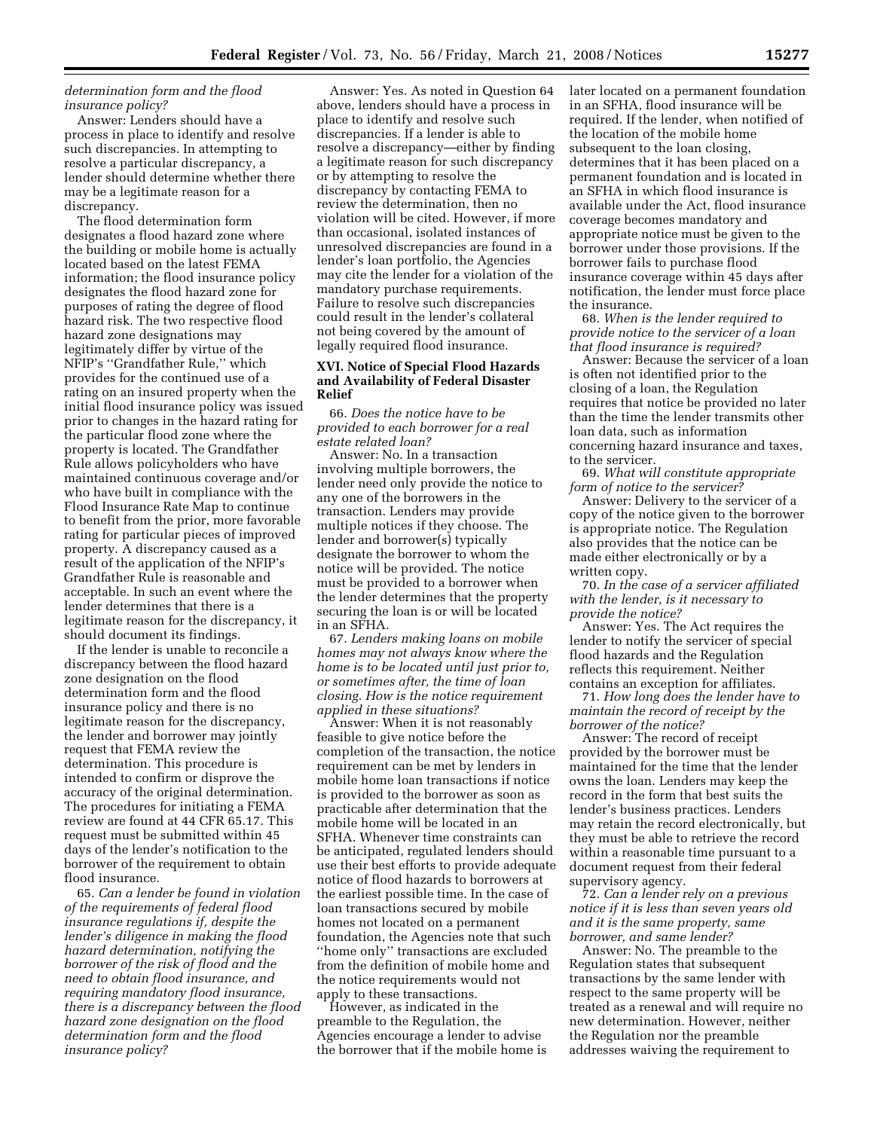#### *determination form and the flood insurance policy?*

Answer: Lenders should have a process in place to identify and resolve such discrepancies. In attempting to resolve a particular discrepancy, a lender should determine whether there may be a legitimate reason for a discrepancy.

The flood determination form designates a flood hazard zone where the building or mobile home is actually located based on the latest FEMA information; the flood insurance policy designates the flood hazard zone for purposes of rating the degree of flood hazard risk. The two respective flood hazard zone designations may legitimately differ by virtue of the NFIP's ''Grandfather Rule,'' which provides for the continued use of a rating on an insured property when the initial flood insurance policy was issued prior to changes in the hazard rating for the particular flood zone where the property is located. The Grandfather Rule allows policyholders who have maintained continuous coverage and/or who have built in compliance with the Flood Insurance Rate Map to continue to benefit from the prior, more favorable rating for particular pieces of improved property. A discrepancy caused as a result of the application of the NFIP's Grandfather Rule is reasonable and acceptable. In such an event where the lender determines that there is a legitimate reason for the discrepancy, it should document its findings.

If the lender is unable to reconcile a discrepancy between the flood hazard zone designation on the flood determination form and the flood insurance policy and there is no legitimate reason for the discrepancy, the lender and borrower may jointly request that FEMA review the determination. This procedure is intended to confirm or disprove the accuracy of the original determination. The procedures for initiating a FEMA review are found at 44 CFR 65.17. This request must be submitted within 45 days of the lender's notification to the borrower of the requirement to obtain flood insurance.

65. *Can a lender be found in violation of the requirements of federal flood insurance regulations if, despite the lender's diligence in making the flood hazard determination, notifying the borrower of the risk of flood and the need to obtain flood insurance, and requiring mandatory flood insurance, there is a discrepancy between the flood hazard zone designation on the flood determination form and the flood insurance policy?* 

Answer: Yes. As noted in Question 64 above, lenders should have a process in place to identify and resolve such discrepancies. If a lender is able to resolve a discrepancy—either by finding a legitimate reason for such discrepancy or by attempting to resolve the discrepancy by contacting FEMA to review the determination, then no violation will be cited. However, if more than occasional, isolated instances of unresolved discrepancies are found in a lender's loan portfolio, the Agencies may cite the lender for a violation of the mandatory purchase requirements. Failure to resolve such discrepancies could result in the lender's collateral not being covered by the amount of legally required flood insurance.

#### **XVI. Notice of Special Flood Hazards and Availability of Federal Disaster Relief**

66. *Does the notice have to be provided to each borrower for a real estate related loan?* 

Answer: No. In a transaction involving multiple borrowers, the lender need only provide the notice to any one of the borrowers in the transaction. Lenders may provide multiple notices if they choose. The lender and borrower(s) typically designate the borrower to whom the notice will be provided. The notice must be provided to a borrower when the lender determines that the property securing the loan is or will be located in an SFHA.

67. *Lenders making loans on mobile homes may not always know where the home is to be located until just prior to, or sometimes after, the time of loan closing. How is the notice requirement applied in these situations?* 

Answer: When it is not reasonably feasible to give notice before the completion of the transaction, the notice requirement can be met by lenders in mobile home loan transactions if notice is provided to the borrower as soon as practicable after determination that the mobile home will be located in an SFHA. Whenever time constraints can be anticipated, regulated lenders should use their best efforts to provide adequate notice of flood hazards to borrowers at the earliest possible time. In the case of loan transactions secured by mobile homes not located on a permanent foundation, the Agencies note that such ''home only'' transactions are excluded from the definition of mobile home and the notice requirements would not apply to these transactions.

However, as indicated in the preamble to the Regulation, the Agencies encourage a lender to advise the borrower that if the mobile home is later located on a permanent foundation in an SFHA, flood insurance will be required. If the lender, when notified of the location of the mobile home subsequent to the loan closing, determines that it has been placed on a permanent foundation and is located in an SFHA in which flood insurance is available under the Act, flood insurance coverage becomes mandatory and appropriate notice must be given to the borrower under those provisions. If the borrower fails to purchase flood insurance coverage within 45 days after notification, the lender must force place the insurance.

68. *When is the lender required to provide notice to the servicer of a loan that flood insurance is required?* 

Answer: Because the servicer of a loan is often not identified prior to the closing of a loan, the Regulation requires that notice be provided no later than the time the lender transmits other loan data, such as information concerning hazard insurance and taxes, to the servicer.

69. *What will constitute appropriate form of notice to the servicer?* 

Answer: Delivery to the servicer of a copy of the notice given to the borrower is appropriate notice. The Regulation also provides that the notice can be made either electronically or by a written copy.

70. *In the case of a servicer affiliated with the lender, is it necessary to provide the notice?* 

Answer: Yes. The Act requires the lender to notify the servicer of special flood hazards and the Regulation reflects this requirement. Neither contains an exception for affiliates.

71. *How long does the lender have to maintain the record of receipt by the borrower of the notice?* 

Answer: The record of receipt provided by the borrower must be maintained for the time that the lender owns the loan. Lenders may keep the record in the form that best suits the lender's business practices. Lenders may retain the record electronically, but they must be able to retrieve the record within a reasonable time pursuant to a document request from their federal supervisory agency.

72. *Can a lender rely on a previous notice if it is less than seven years old and it is the same property, same borrower, and same lender?* 

Answer: No. The preamble to the Regulation states that subsequent transactions by the same lender with respect to the same property will be treated as a renewal and will require no new determination. However, neither the Regulation nor the preamble addresses waiving the requirement to